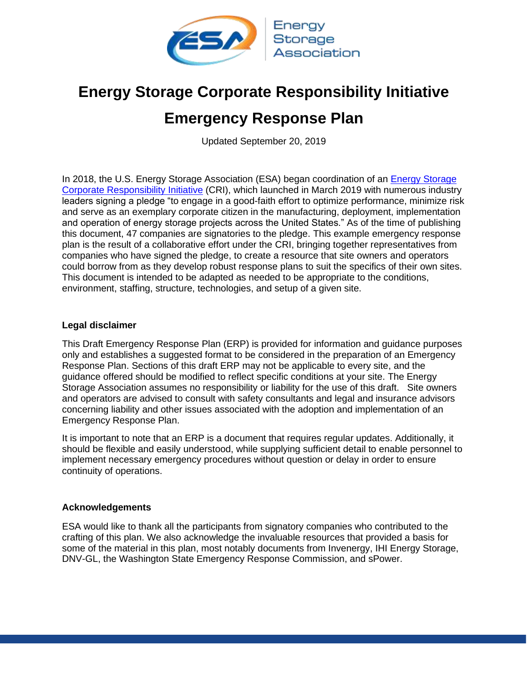

# **Energy Storage Corporate Responsibility Initiative Emergency Response Plan**

Updated September 20, 2019

In 2018, the U.S. Energy Storage Association (ESA) began coordination of an [Energy Storage](https://energystorage.org/about-esa/energy-storage-corporate-responsibility-initiative/) [Corporate Responsibility Initiative](https://energystorage.org/about-esa/energy-storage-corporate-responsibility-initiative/) (CRI), which launched in March 2019 with numerous industry leaders signing a pledge "to engage in a good-faith effort to optimize performance, minimize risk and serve as an exemplary corporate citizen in the manufacturing, deployment, implementation and operation of energy storage projects across the United States." As of the time of publishing this document, 47 companies are signatories to the pledge. This example emergency response plan is the result of a collaborative effort under the CRI, bringing together representatives from companies who have signed the pledge, to create a resource that site owners and operators could borrow from as they develop robust response plans to suit the specifics of their own sites. This document is intended to be adapted as needed to be appropriate to the conditions, environment, staffing, structure, technologies, and setup of a given site.

#### **Legal disclaimer**

This Draft Emergency Response Plan (ERP) is provided for information and guidance purposes only and establishes a suggested format to be considered in the preparation of an Emergency Response Plan. Sections of this draft ERP may not be applicable to every site, and the guidance offered should be modified to reflect specific conditions at your site. The Energy Storage Association assumes no responsibility or liability for the use of this draft. Site owners and operators are advised to consult with safety consultants and legal and insurance advisors concerning liability and other issues associated with the adoption and implementation of an Emergency Response Plan.

It is important to note that an ERP is a document that requires regular updates. Additionally, it should be flexible and easily understood, while supplying sufficient detail to enable personnel to implement necessary emergency procedures without question or delay in order to ensure continuity of operations.

#### **Acknowledgements**

ESA would like to thank all the participants from signatory companies who contributed to the crafting of this plan. We also acknowledge the invaluable resources that provided a basis for some of the material in this plan, most notably documents from Invenergy, IHI Energy Storage, DNV-GL, the Washington State Emergency Response Commission, and sPower.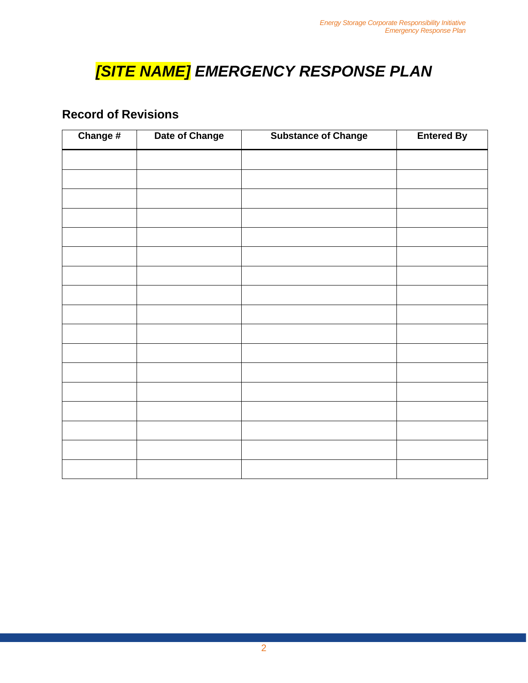# *[SITE NAME] EMERGENCY RESPONSE PLAN*

### **Record of Revisions**

| Change # | Date of Change | <b>Substance of Change</b> | <b>Entered By</b> |  |
|----------|----------------|----------------------------|-------------------|--|
|          |                |                            |                   |  |
|          |                |                            |                   |  |
|          |                |                            |                   |  |
|          |                |                            |                   |  |
|          |                |                            |                   |  |
|          |                |                            |                   |  |
|          |                |                            |                   |  |
|          |                |                            |                   |  |
|          |                |                            |                   |  |
|          |                |                            |                   |  |
|          |                |                            |                   |  |
|          |                |                            |                   |  |
|          |                |                            |                   |  |
|          |                |                            |                   |  |
|          |                |                            |                   |  |
|          |                |                            |                   |  |
|          |                |                            |                   |  |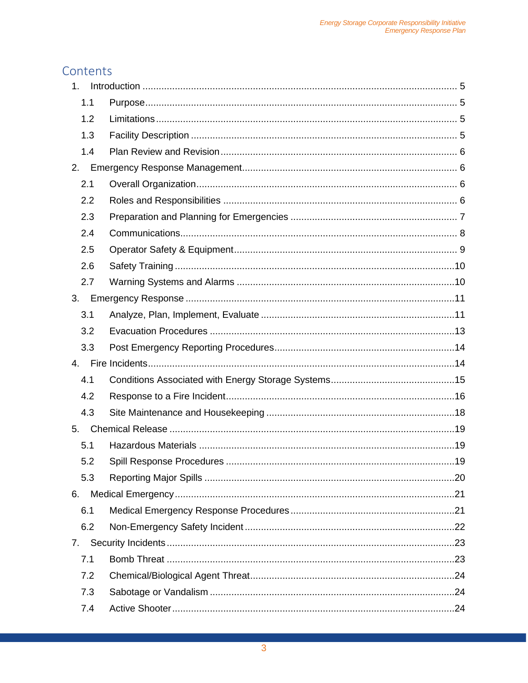### Contents

| 1 <sub>1</sub> |  |
|----------------|--|
| 1.1            |  |
| 1.2            |  |
| 1.3            |  |
| 1.4            |  |
| 2.             |  |
| 2.1            |  |
| 2.2            |  |
| 2.3            |  |
| 2.4            |  |
| 2.5            |  |
| 2.6            |  |
| 2.7            |  |
| 3.             |  |
| 3.1            |  |
| 3.2            |  |
| 3.3            |  |
| 4.             |  |
| 4.1            |  |
| 4.2            |  |
| 4.3            |  |
| 5.             |  |
| 5.1            |  |
| 5.2            |  |
| 5.3            |  |
| 6.             |  |
| 6.1            |  |
| 6.2            |  |
| 7.             |  |
| 7.1            |  |
| 7.2            |  |
| 7.3            |  |
| 7.4            |  |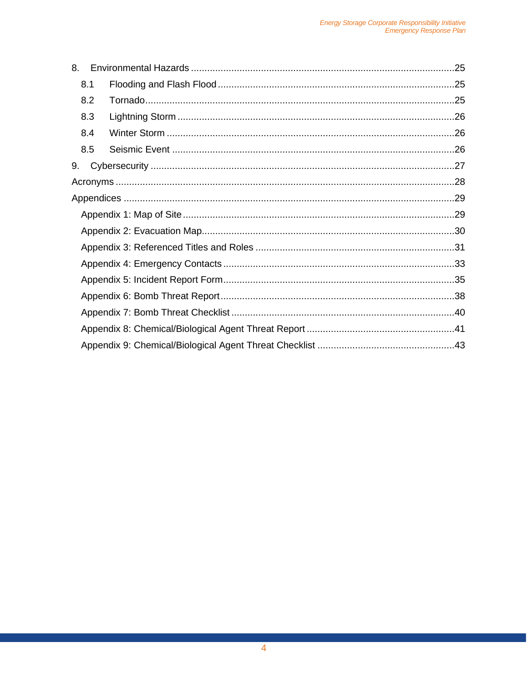| 8.  |  |  |
|-----|--|--|
| 8.1 |  |  |
| 8.2 |  |  |
| 8.3 |  |  |
| 8.4 |  |  |
| 8.5 |  |  |
| 9.  |  |  |
|     |  |  |
|     |  |  |
|     |  |  |
|     |  |  |
|     |  |  |
|     |  |  |
|     |  |  |
|     |  |  |
|     |  |  |
|     |  |  |
|     |  |  |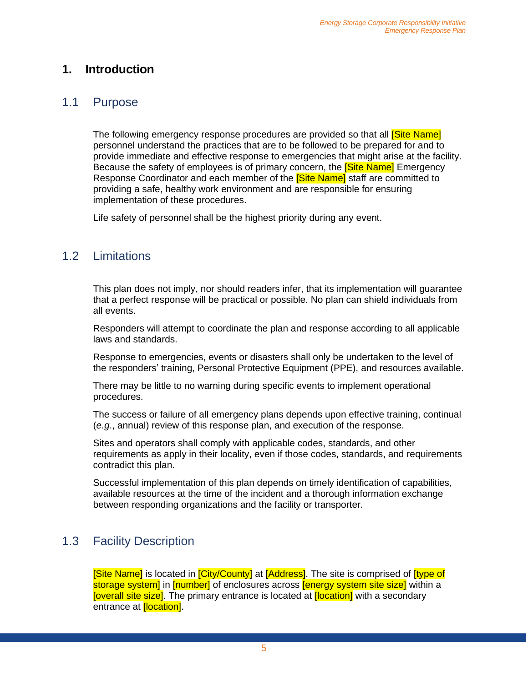### <span id="page-4-0"></span>**1. Introduction**

#### <span id="page-4-1"></span>1.1 Purpose

The following emergency response procedures are provided so that all **Site Name** personnel understand the practices that are to be followed to be prepared for and to provide immediate and effective response to emergencies that might arise at the facility. Because the safety of employees is of primary concern, the **Site Name** Emergency Response Coordinator and each member of the **Site Namel** staff are committed to providing a safe, healthy work environment and are responsible for ensuring implementation of these procedures.

Life safety of personnel shall be the highest priority during any event.

### <span id="page-4-2"></span>1.2 Limitations

This plan does not imply, nor should readers infer, that its implementation will guarantee that a perfect response will be practical or possible. No plan can shield individuals from all events.

Responders will attempt to coordinate the plan and response according to all applicable laws and standards.

Response to emergencies, events or disasters shall only be undertaken to the level of the responders' training, Personal Protective Equipment (PPE), and resources available.

There may be little to no warning during specific events to implement operational procedures.

The success or failure of all emergency plans depends upon effective training, continual (*e.g.*, annual) review of this response plan, and execution of the response.

Sites and operators shall comply with applicable codes, standards, and other requirements as apply in their locality, even if those codes, standards, and requirements contradict this plan.

Successful implementation of this plan depends on timely identification of capabilities, available resources at the time of the incident and a thorough information exchange between responding organizations and the facility or transporter.

### <span id="page-4-3"></span>1.3 Facility Description

[Site Name] is located in [City/County] at [Address]. The site is comprised of [type of storage system] in [number] of enclosures across [energy system site size] within a **[overall site size]**. The primary entrance is located at **[location]** with a secondary entrance at **[location]**.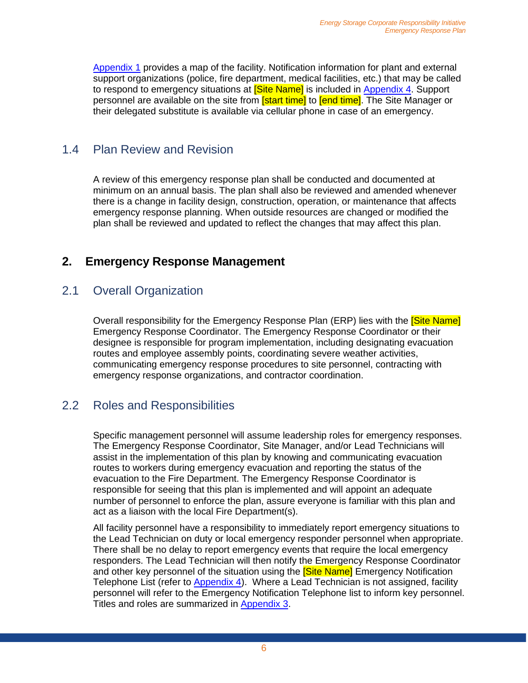[Appendix 1](#page-28-1) provides a map of the facility. Notification information for plant and external support organizations (police, fire department, medical facilities, etc.) that may be called to respond to emergency situations at **[Site Name]** is included in [Appendix 4.](#page-32-0) Support personnel are available on the site from **[start time]** to **[end time]**. The Site Manager or their delegated substitute is available via cellular phone in case of an emergency.

### <span id="page-5-0"></span>1.4 Plan Review and Revision

A review of this emergency response plan shall be conducted and documented at minimum on an annual basis. The plan shall also be reviewed and amended whenever there is a change in facility design, construction, operation, or maintenance that affects emergency response planning. When outside resources are changed or modified the plan shall be reviewed and updated to reflect the changes that may affect this plan.

### <span id="page-5-1"></span>**2. Emergency Response Management**

### <span id="page-5-2"></span>2.1 Overall Organization

Overall responsibility for the Emergency Response Plan (ERP) lies with the **Site Name** Emergency Response Coordinator. The Emergency Response Coordinator or their designee is responsible for program implementation, including designating evacuation routes and employee assembly points, coordinating severe weather activities, communicating emergency response procedures to site personnel, contracting with emergency response organizations, and contractor coordination.

### <span id="page-5-3"></span>2.2 Roles and Responsibilities

Specific management personnel will assume leadership roles for emergency responses. The Emergency Response Coordinator, Site Manager, and/or Lead Technicians will assist in the implementation of this plan by knowing and communicating evacuation routes to workers during emergency evacuation and reporting the status of the evacuation to the Fire Department. The Emergency Response Coordinator is responsible for seeing that this plan is implemented and will appoint an adequate number of personnel to enforce the plan, assure everyone is familiar with this plan and act as a liaison with the local Fire Department(s).

All facility personnel have a responsibility to immediately report emergency situations to the Lead Technician on duty or local emergency responder personnel when appropriate. There shall be no delay to report emergency events that require the local emergency responders. The Lead Technician will then notify the Emergency Response Coordinator and other key personnel of the situation using the **Site Name** Emergency Notification Telephone List (refer to **Appendix 4**). Where a Lead Technician is not assigned, facility personnel will refer to the Emergency Notification Telephone list to inform key personnel. Titles and roles are summarized in [Appendix 3.](#page-30-0)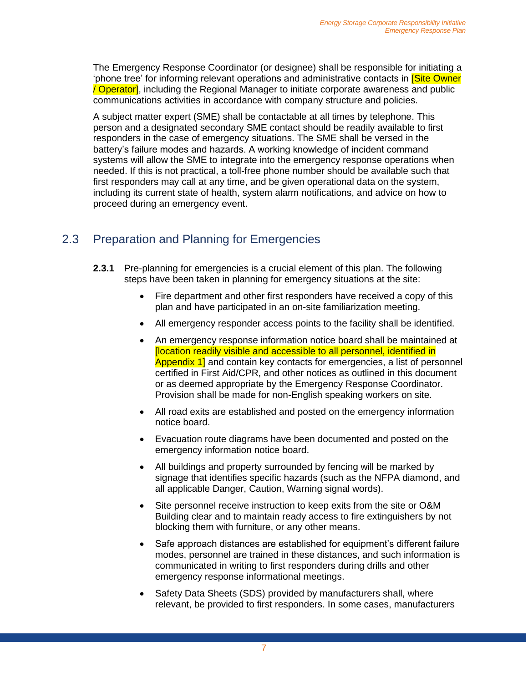The Emergency Response Coordinator (or designee) shall be responsible for initiating a 'phone tree' for informing relevant operations and administrative contacts in <mark>[Site Owner</mark> / Operator], including the Regional Manager to initiate corporate awareness and public communications activities in accordance with company structure and policies.

A subject matter expert (SME) shall be contactable at all times by telephone. This person and a designated secondary SME contact should be readily available to first responders in the case of emergency situations. The SME shall be versed in the battery's failure modes and hazards. A working knowledge of incident command systems will allow the SME to integrate into the emergency response operations when needed. If this is not practical, a toll-free phone number should be available such that first responders may call at any time, and be given operational data on the system, including its current state of health, system alarm notifications, and advice on how to proceed during an emergency event.

### <span id="page-6-0"></span>2.3 Preparation and Planning for Emergencies

- **2.3.1** Pre-planning for emergencies is a crucial element of this plan. The following steps have been taken in planning for emergency situations at the site:
	- Fire department and other first responders have received a copy of this plan and have participated in an on-site familiarization meeting.
	- All emergency responder access points to the facility shall be identified.
	- An emergency response information notice board shall be maintained at [location readily visible and accessible to all personnel, identified in Appendix 1] and contain key contacts for emergencies, a list of personnel certified in First Aid/CPR, and other notices as outlined in this document or as deemed appropriate by the Emergency Response Coordinator. Provision shall be made for non-English speaking workers on site.
	- All road exits are established and posted on the emergency information notice board.
	- Evacuation route diagrams have been documented and posted on the emergency information notice board.
	- All buildings and property surrounded by fencing will be marked by signage that identifies specific hazards (such as the NFPA diamond, and all applicable Danger, Caution, Warning signal words).
	- Site personnel receive instruction to keep exits from the site or O&M Building clear and to maintain ready access to fire extinguishers by not blocking them with furniture, or any other means.
	- Safe approach distances are established for equipment's different failure modes, personnel are trained in these distances, and such information is communicated in writing to first responders during drills and other emergency response informational meetings.
	- Safety Data Sheets (SDS) provided by manufacturers shall, where relevant, be provided to first responders. In some cases, manufacturers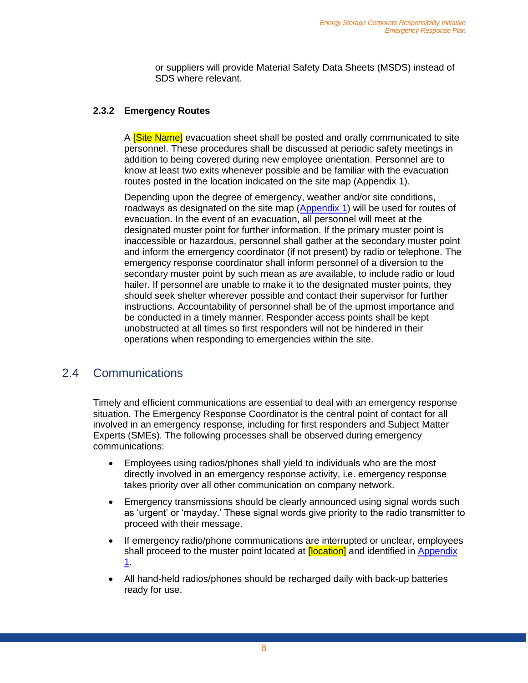or suppliers will provide Material Safety Data Sheets (MSDS) instead of SDS where relevant.

#### **2.3.2 Emergency Routes**

A **[Site Name]** evacuation sheet shall be posted and orally communicated to site personnel. These procedures shall be discussed at periodic safety meetings in addition to being covered during new employee orientation. Personnel are to know at least two exits whenever possible and be familiar with the evacuation routes posted in the location indicated on the site map (Appendix 1).

Depending upon the degree of emergency, weather and/or site conditions, roadways as designated on the site map [\(Appendix 1\)](#page-28-1) will be used for routes of evacuation. In the event of an evacuation, all personnel will meet at the designated muster point for further information. If the primary muster point is inaccessible or hazardous, personnel shall gather at the secondary muster point and inform the emergency coordinator (if not present) by radio or telephone. The emergency response coordinator shall inform personnel of a diversion to the secondary muster point by such mean as are available, to include radio or loud hailer. If personnel are unable to make it to the designated muster points, they should seek shelter wherever possible and contact their supervisor for further instructions. Accountability of personnel shall be of the upmost importance and be conducted in a timely manner. Responder access points shall be kept unobstructed at all times so first responders will not be hindered in their operations when responding to emergencies within the site.

#### <span id="page-7-0"></span>2.4 Communications

Timely and efficient communications are essential to deal with an emergency response situation. The Emergency Response Coordinator is the central point of contact for all involved in an emergency response, including for first responders and Subject Matter Experts (SMEs). The following processes shall be observed during emergency communications:

- Employees using radios/phones shall yield to individuals who are the most directly involved in an emergency response activity, i.e. emergency response takes priority over all other communication on company network.
- Emergency transmissions should be clearly announced using signal words such as 'urgent' or 'mayday.' These signal words give priority to the radio transmitter to proceed with their message.
- If emergency radio/phone communications are interrupted or unclear, employees shall proceed to the muster point located at **[location]** and identified in Appendix [1.](#page-28-1)
- All hand-held radios/phones should be recharged daily with back-up batteries ready for use.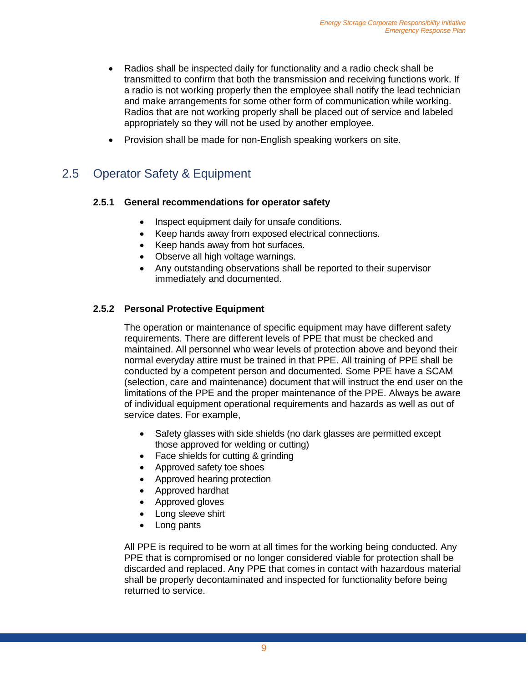- Radios shall be inspected daily for functionality and a radio check shall be transmitted to confirm that both the transmission and receiving functions work. If a radio is not working properly then the employee shall notify the lead technician and make arrangements for some other form of communication while working. Radios that are not working properly shall be placed out of service and labeled appropriately so they will not be used by another employee.
- Provision shall be made for non-English speaking workers on site.

### <span id="page-8-0"></span>2.5 Operator Safety & Equipment

#### **2.5.1 General recommendations for operator safety**

- Inspect equipment daily for unsafe conditions.
- Keep hands away from exposed electrical connections.
- Keep hands away from hot surfaces.
- Observe all high voltage warnings.
- Any outstanding observations shall be reported to their supervisor immediately and documented.

#### **2.5.2 Personal Protective Equipment**

The operation or maintenance of specific equipment may have different safety requirements. There are different levels of PPE that must be checked and maintained. All personnel who wear levels of protection above and beyond their normal everyday attire must be trained in that PPE. All training of PPE shall be conducted by a competent person and documented. Some PPE have a SCAM (selection, care and maintenance) document that will instruct the end user on the limitations of the PPE and the proper maintenance of the PPE. Always be aware of individual equipment operational requirements and hazards as well as out of service dates. For example,

- Safety glasses with side shields (no dark glasses are permitted except those approved for welding or cutting)
- Face shields for cutting & grinding
- Approved safety toe shoes
- Approved hearing protection
- Approved hardhat
- Approved gloves
- Long sleeve shirt
- Long pants

All PPE is required to be worn at all times for the working being conducted. Any PPE that is compromised or no longer considered viable for protection shall be discarded and replaced. Any PPE that comes in contact with hazardous material shall be properly decontaminated and inspected for functionality before being returned to service.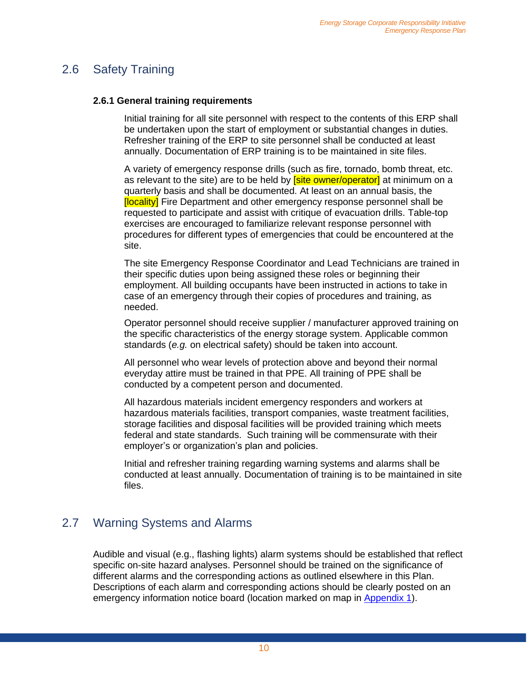### <span id="page-9-0"></span>2.6 Safety Training

#### **2.6.1 General training requirements**

Initial training for all site personnel with respect to the contents of this ERP shall be undertaken upon the start of employment or substantial changes in duties. Refresher training of the ERP to site personnel shall be conducted at least annually. Documentation of ERP training is to be maintained in site files.

A variety of emergency response drills (such as fire, tornado, bomb threat, etc. as relevant to the site) are to be held by **[site owner/operator]** at minimum on a quarterly basis and shall be documented. At least on an annual basis, the **[locality]** Fire Department and other emergency response personnel shall be requested to participate and assist with critique of evacuation drills. Table-top exercises are encouraged to familiarize relevant response personnel with procedures for different types of emergencies that could be encountered at the site.

The site Emergency Response Coordinator and Lead Technicians are trained in their specific duties upon being assigned these roles or beginning their employment. All building occupants have been instructed in actions to take in case of an emergency through their copies of procedures and training, as needed.

Operator personnel should receive supplier / manufacturer approved training on the specific characteristics of the energy storage system. Applicable common standards (*e.g.* on electrical safety) should be taken into account.

All personnel who wear levels of protection above and beyond their normal everyday attire must be trained in that PPE. All training of PPE shall be conducted by a competent person and documented.

All hazardous materials incident emergency responders and workers at hazardous materials facilities, transport companies, waste treatment facilities, storage facilities and disposal facilities will be provided training which meets federal and state standards. Such training will be commensurate with their employer's or organization's plan and policies.

Initial and refresher training regarding warning systems and alarms shall be conducted at least annually. Documentation of training is to be maintained in site files.

# <span id="page-9-1"></span>2.7 Warning Systems and Alarms

Audible and visual (e.g., flashing lights) alarm systems should be established that reflect specific on-site hazard analyses. Personnel should be trained on the significance of different alarms and the corresponding actions as outlined elsewhere in this Plan. Descriptions of each alarm and corresponding actions should be clearly posted on an emergency information notice board (location marked on map in [Appendix 1\)](#page-28-1).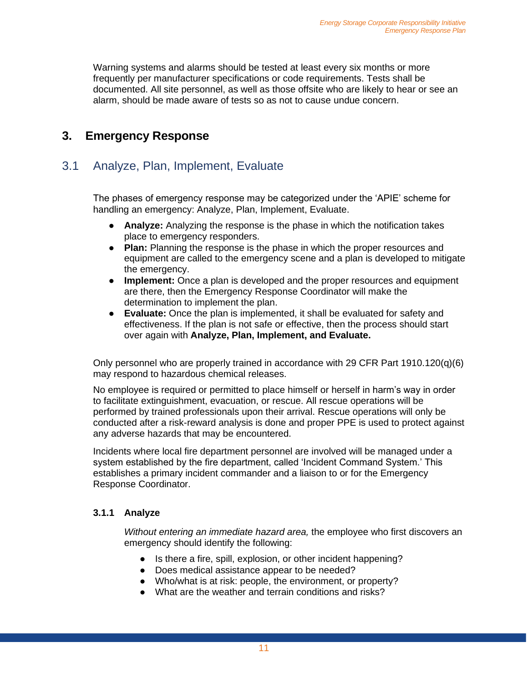Warning systems and alarms should be tested at least every six months or more frequently per manufacturer specifications or code requirements. Tests shall be documented. All site personnel, as well as those offsite who are likely to hear or see an alarm, should be made aware of tests so as not to cause undue concern.

### <span id="page-10-0"></span>**3. Emergency Response**

### <span id="page-10-1"></span>3.1 Analyze, Plan, Implement, Evaluate

The phases of emergency response may be categorized under the 'APIE' scheme for handling an emergency: Analyze, Plan, Implement, Evaluate.

- **Analyze:** Analyzing the response is the phase in which the notification takes place to emergency responders.
- **Plan:** Planning the response is the phase in which the proper resources and equipment are called to the emergency scene and a plan is developed to mitigate the emergency.
- **Implement:** Once a plan is developed and the proper resources and equipment are there, then the Emergency Response Coordinator will make the determination to implement the plan.
- **Evaluate:** Once the plan is implemented, it shall be evaluated for safety and effectiveness. If the plan is not safe or effective, then the process should start over again with **Analyze, Plan, Implement, and Evaluate.**

Only personnel who are properly trained in accordance with 29 CFR Part 1910.120(q)(6) may respond to hazardous chemical releases.

No employee is required or permitted to place himself or herself in harm's way in order to facilitate extinguishment, evacuation, or rescue. All rescue operations will be performed by trained professionals upon their arrival. Rescue operations will only be conducted after a risk-reward analysis is done and proper PPE is used to protect against any adverse hazards that may be encountered.

Incidents where local fire department personnel are involved will be managed under a system established by the fire department, called 'Incident Command System.' This establishes a primary incident commander and a liaison to or for the Emergency Response Coordinator.

#### **3.1.1 Analyze**

*Without entering an immediate hazard area,* the employee who first discovers an emergency should identify the following:

- Is there a fire, spill, explosion, or other incident happening?
- Does medical assistance appear to be needed?
- Who/what is at risk: people, the environment, or property?
- What are the weather and terrain conditions and risks?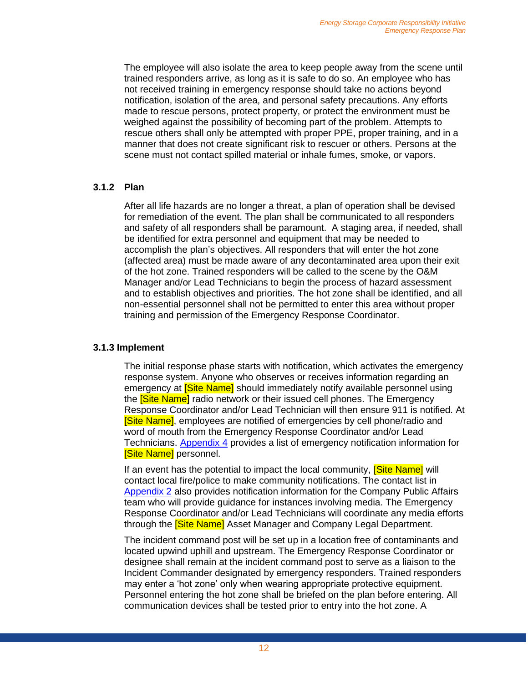The employee will also isolate the area to keep people away from the scene until trained responders arrive, as long as it is safe to do so. An employee who has not received training in emergency response should take no actions beyond notification, isolation of the area, and personal safety precautions. Any efforts made to rescue persons, protect property, or protect the environment must be weighed against the possibility of becoming part of the problem. Attempts to rescue others shall only be attempted with proper PPE, proper training, and in a manner that does not create significant risk to rescuer or others. Persons at the scene must not contact spilled material or inhale fumes, smoke, or vapors.

#### **3.1.2 Plan**

After all life hazards are no longer a threat, a plan of operation shall be devised for remediation of the event. The plan shall be communicated to all responders and safety of all responders shall be paramount. A staging area, if needed, shall be identified for extra personnel and equipment that may be needed to accomplish the plan's objectives. All responders that will enter the hot zone (affected area) must be made aware of any decontaminated area upon their exit of the hot zone. Trained responders will be called to the scene by the O&M Manager and/or Lead Technicians to begin the process of hazard assessment and to establish objectives and priorities. The hot zone shall be identified, and all non-essential personnel shall not be permitted to enter this area without proper training and permission of the Emergency Response Coordinator.

#### **3.1.3 Implement**

The initial response phase starts with notification, which activates the emergency response system. Anyone who observes or receives information regarding an emergency at **[Site Name]** should immediately notify available personnel using the **[Site Name]** radio network or their issued cell phones. The Emergency Response Coordinator and/or Lead Technician will then ensure 911 is notified. At **[Site Name]**, employees are notified of emergencies by cell phone/radio and word of mouth from the Emergency Response Coordinator and/or Lead Technicians. [Appendix 4](#page-32-0) provides a list of emergency notification information for [Site Name] personnel.

If an event has the potential to impact the local community, **[Site Name]** will contact local fire/police to make community notifications. The contact list in [Appendix 2](#page-29-0) also provides notification information for the Company Public Affairs team who will provide guidance for instances involving media. The Emergency Response Coordinator and/or Lead Technicians will coordinate any media efforts through the **Site Name** Asset Manager and Company Legal Department.

The incident command post will be set up in a location free of contaminants and located upwind uphill and upstream. The Emergency Response Coordinator or designee shall remain at the incident command post to serve as a liaison to the Incident Commander designated by emergency responders. Trained responders may enter a 'hot zone' only when wearing appropriate protective equipment. Personnel entering the hot zone shall be briefed on the plan before entering. All communication devices shall be tested prior to entry into the hot zone. A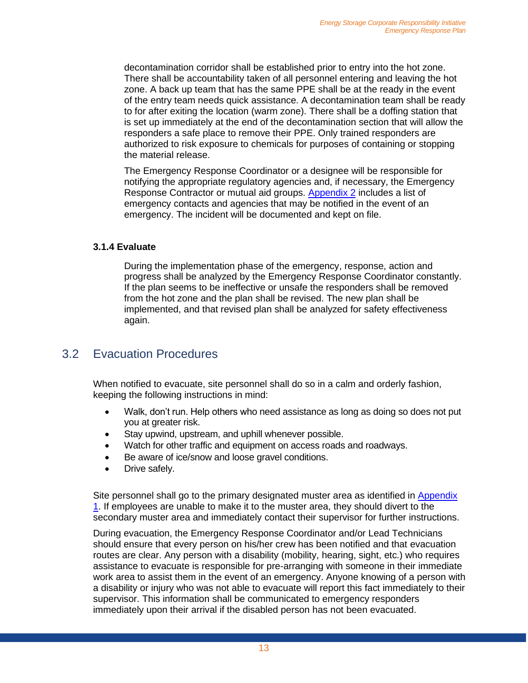decontamination corridor shall be established prior to entry into the hot zone. There shall be accountability taken of all personnel entering and leaving the hot zone. A back up team that has the same PPE shall be at the ready in the event of the entry team needs quick assistance. A decontamination team shall be ready to for after exiting the location (warm zone). There shall be a doffing station that is set up immediately at the end of the decontamination section that will allow the responders a safe place to remove their PPE. Only trained responders are authorized to risk exposure to chemicals for purposes of containing or stopping the material release.

The Emergency Response Coordinator or a designee will be responsible for notifying the appropriate regulatory agencies and, if necessary, the Emergency Response Contractor or mutual aid groups. [Appendix 2](#page-29-0) includes a list of emergency contacts and agencies that may be notified in the event of an emergency. The incident will be documented and kept on file.

#### **3.1.4 Evaluate**

During the implementation phase of the emergency, response, action and progress shall be analyzed by the Emergency Response Coordinator constantly. If the plan seems to be ineffective or unsafe the responders shall be removed from the hot zone and the plan shall be revised. The new plan shall be implemented, and that revised plan shall be analyzed for safety effectiveness again.

#### <span id="page-12-0"></span>3.2 Evacuation Procedures

When notified to evacuate, site personnel shall do so in a calm and orderly fashion, keeping the following instructions in mind:

- Walk, don't run. Help others who need assistance as long as doing so does not put you at greater risk.
- Stay upwind, upstream, and uphill whenever possible.
- Watch for other traffic and equipment on access roads and roadways.
- Be aware of ice/snow and loose gravel conditions.
- Drive safely.

Site personnel shall go to the primary designated muster area as identified in [Appendix](#page-28-1)  [1.](#page-28-1) If employees are unable to make it to the muster area, they should divert to the secondary muster area and immediately contact their supervisor for further instructions.

During evacuation, the Emergency Response Coordinator and/or Lead Technicians should ensure that every person on his/her crew has been notified and that evacuation routes are clear. Any person with a disability (mobility, hearing, sight, etc.) who requires assistance to evacuate is responsible for pre-arranging with someone in their immediate work area to assist them in the event of an emergency. Anyone knowing of a person with a disability or injury who was not able to evacuate will report this fact immediately to their supervisor. This information shall be communicated to emergency responders immediately upon their arrival if the disabled person has not been evacuated.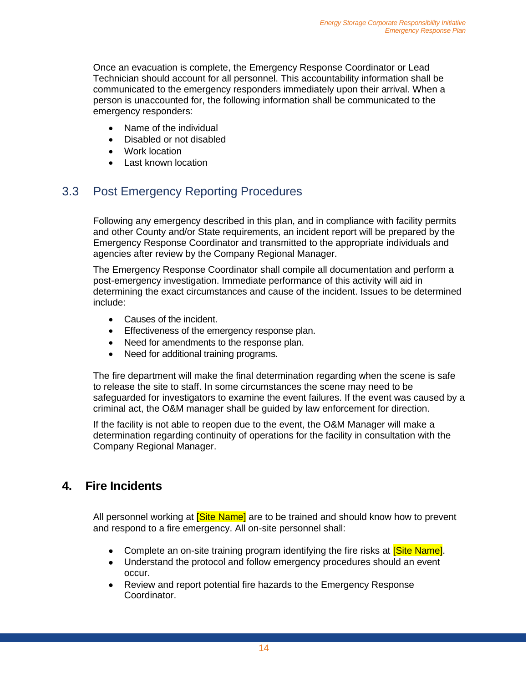Once an evacuation is complete, the Emergency Response Coordinator or Lead Technician should account for all personnel. This accountability information shall be communicated to the emergency responders immediately upon their arrival. When a person is unaccounted for, the following information shall be communicated to the emergency responders:

- Name of the individual
- Disabled or not disabled
- Work location
- Last known location

### <span id="page-13-0"></span>3.3 Post Emergency Reporting Procedures

Following any emergency described in this plan, and in compliance with facility permits and other County and/or State requirements, an incident report will be prepared by the Emergency Response Coordinator and transmitted to the appropriate individuals and agencies after review by the Company Regional Manager.

The Emergency Response Coordinator shall compile all documentation and perform a post-emergency investigation. Immediate performance of this activity will aid in determining the exact circumstances and cause of the incident. Issues to be determined include:

- Causes of the incident.
- Effectiveness of the emergency response plan.
- Need for amendments to the response plan.
- Need for additional training programs.

The fire department will make the final determination regarding when the scene is safe to release the site to staff. In some circumstances the scene may need to be safeguarded for investigators to examine the event failures. If the event was caused by a criminal act, the O&M manager shall be guided by law enforcement for direction.

If the facility is not able to reopen due to the event, the O&M Manager will make a determination regarding continuity of operations for the facility in consultation with the Company Regional Manager.

### <span id="page-13-1"></span>**4. Fire Incidents**

All personnel working at **Site Name** are to be trained and should know how to prevent and respond to a fire emergency. All on-site personnel shall:

- Complete an on-site training program identifying the fire risks at **Site Name**.
- Understand the protocol and follow emergency procedures should an event occur.
- Review and report potential fire hazards to the Emergency Response Coordinator.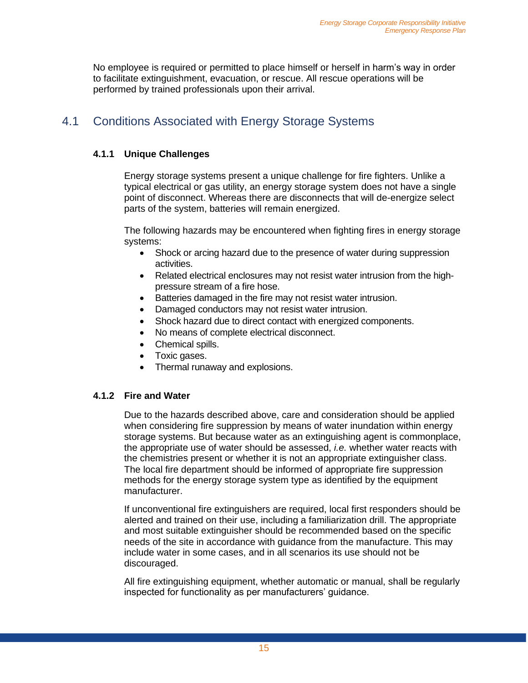No employee is required or permitted to place himself or herself in harm's way in order to facilitate extinguishment, evacuation, or rescue. All rescue operations will be performed by trained professionals upon their arrival.

### <span id="page-14-0"></span>4.1 Conditions Associated with Energy Storage Systems

#### **4.1.1 Unique Challenges**

Energy storage systems present a unique challenge for fire fighters. Unlike a typical electrical or gas utility, an energy storage system does not have a single point of disconnect. Whereas there are disconnects that will de-energize select parts of the system, batteries will remain energized.

The following hazards may be encountered when fighting fires in energy storage systems:

- Shock or arcing hazard due to the presence of water during suppression activities.
- Related electrical enclosures may not resist water intrusion from the highpressure stream of a fire hose.
- Batteries damaged in the fire may not resist water intrusion.
- Damaged conductors may not resist water intrusion.
- Shock hazard due to direct contact with energized components.
- No means of complete electrical disconnect.
- Chemical spills.
- Toxic gases.
- Thermal runaway and explosions.

#### **4.1.2 Fire and Water**

Due to the hazards described above, care and consideration should be applied when considering fire suppression by means of water inundation within energy storage systems. But because water as an extinguishing agent is commonplace, the appropriate use of water should be assessed, *i.e.* whether water reacts with the chemistries present or whether it is not an appropriate extinguisher class. The local fire department should be informed of appropriate fire suppression methods for the energy storage system type as identified by the equipment manufacturer.

If unconventional fire extinguishers are required, local first responders should be alerted and trained on their use, including a familiarization drill. The appropriate and most suitable extinguisher should be recommended based on the specific needs of the site in accordance with guidance from the manufacture. This may include water in some cases, and in all scenarios its use should not be discouraged.

All fire extinguishing equipment, whether automatic or manual, shall be regularly inspected for functionality as per manufacturers' guidance.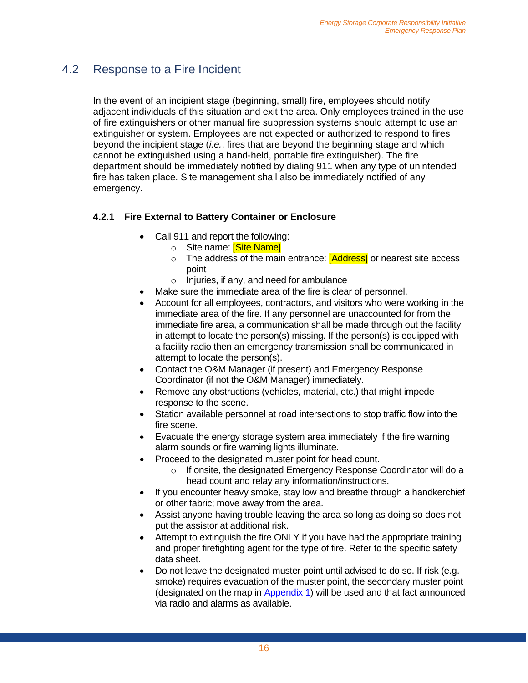### <span id="page-15-0"></span>4.2 Response to a Fire Incident

In the event of an incipient stage (beginning, small) fire, employees should notify adjacent individuals of this situation and exit the area. Only employees trained in the use of fire extinguishers or other manual fire suppression systems should attempt to use an extinguisher or system. Employees are not expected or authorized to respond to fires beyond the incipient stage (*i.e.*, fires that are beyond the beginning stage and which cannot be extinguished using a hand-held, portable fire extinguisher). The fire department should be immediately notified by dialing 911 when any type of unintended fire has taken place. Site management shall also be immediately notified of any emergency.

#### **4.2.1 Fire External to Battery Container or Enclosure**

- Call 911 and report the following:
	- o Site name: **[Site Name]**
	- o The address of the main entrance: **[Address]** or nearest site access point
	- o Injuries, if any, and need for ambulance
- Make sure the immediate area of the fire is clear of personnel.
- Account for all employees, contractors, and visitors who were working in the immediate area of the fire. If any personnel are unaccounted for from the immediate fire area, a communication shall be made through out the facility in attempt to locate the person(s) missing. If the person(s) is equipped with a facility radio then an emergency transmission shall be communicated in attempt to locate the person(s).
- Contact the O&M Manager (if present) and Emergency Response Coordinator (if not the O&M Manager) immediately.
- Remove any obstructions (vehicles, material, etc.) that might impede response to the scene.
- Station available personnel at road intersections to stop traffic flow into the fire scene.
- Evacuate the energy storage system area immediately if the fire warning alarm sounds or fire warning lights illuminate.
- Proceed to the designated muster point for head count.
	- o If onsite, the designated Emergency Response Coordinator will do a head count and relay any information/instructions.
- If you encounter heavy smoke, stay low and breathe through a handkerchief or other fabric; move away from the area.
- Assist anyone having trouble leaving the area so long as doing so does not put the assistor at additional risk.
- Attempt to extinguish the fire ONLY if you have had the appropriate training and proper firefighting agent for the type of fire. Refer to the specific safety data sheet.
- Do not leave the designated muster point until advised to do so. If risk (e.g. smoke) requires evacuation of the muster point, the secondary muster point (designated on the map in [Appendix 1\)](#page-28-1) will be used and that fact announced via radio and alarms as available.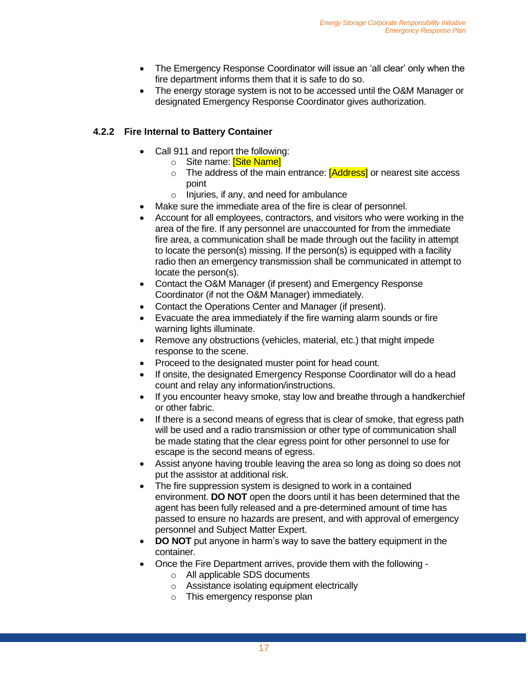- The Emergency Response Coordinator will issue an 'all clear' only when the fire department informs them that it is safe to do so.
- The energy storage system is not to be accessed until the O&M Manager or designated Emergency Response Coordinator gives authorization.

#### **4.2.2 Fire Internal to Battery Container**

- Call 911 and report the following:
	- o Site name: **[Site Name]**
	- o The address of the main entrance: **[Address]** or nearest site access point
	- o Injuries, if any, and need for ambulance
- Make sure the immediate area of the fire is clear of personnel.
- Account for all employees, contractors, and visitors who were working in the area of the fire. If any personnel are unaccounted for from the immediate fire area, a communication shall be made through out the facility in attempt to locate the person(s) missing. If the person(s) is equipped with a facility radio then an emergency transmission shall be communicated in attempt to locate the person(s).
- Contact the O&M Manager (if present) and Emergency Response Coordinator (if not the O&M Manager) immediately.
- Contact the Operations Center and Manager (if present).
- Evacuate the area immediately if the fire warning alarm sounds or fire warning lights illuminate.
- Remove any obstructions (vehicles, material, etc.) that might impede response to the scene.
- Proceed to the designated muster point for head count.
- If onsite, the designated Emergency Response Coordinator will do a head count and relay any information/instructions.
- If you encounter heavy smoke, stay low and breathe through a handkerchief or other fabric.
- If there is a second means of egress that is clear of smoke, that egress path will be used and a radio transmission or other type of communication shall be made stating that the clear egress point for other personnel to use for escape is the second means of egress.
- Assist anyone having trouble leaving the area so long as doing so does not put the assistor at additional risk.
- The fire suppression system is designed to work in a contained environment. **DO NOT** open the doors until it has been determined that the agent has been fully released and a pre-determined amount of time has passed to ensure no hazards are present, and with approval of emergency personnel and Subject Matter Expert.
- **DO NOT** put anyone in harm's way to save the battery equipment in the container.
- Once the Fire Department arrives, provide them with the following
	- o All applicable SDS documents
	- o Assistance isolating equipment electrically
	- o This emergency response plan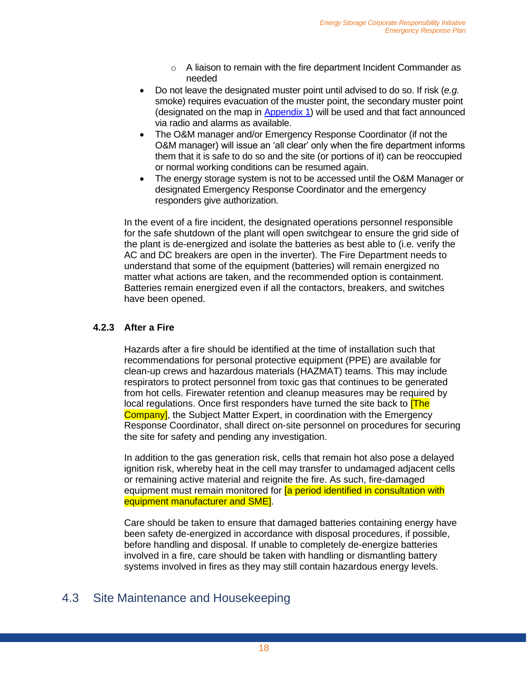- o A liaison to remain with the fire department Incident Commander as needed
- Do not leave the designated muster point until advised to do so. If risk (*e.g.* smoke) requires evacuation of the muster point, the secondary muster point (designated on the map in [Appendix 1\)](#page-28-1) will be used and that fact announced via radio and alarms as available.
- The O&M manager and/or Emergency Response Coordinator (if not the O&M manager) will issue an 'all clear' only when the fire department informs them that it is safe to do so and the site (or portions of it) can be reoccupied or normal working conditions can be resumed again.
- The energy storage system is not to be accessed until the O&M Manager or designated Emergency Response Coordinator and the emergency responders give authorization.

In the event of a fire incident, the designated operations personnel responsible for the safe shutdown of the plant will open switchgear to ensure the grid side of the plant is de-energized and isolate the batteries as best able to (i.e. verify the AC and DC breakers are open in the inverter). The Fire Department needs to understand that some of the equipment (batteries) will remain energized no matter what actions are taken, and the recommended option is containment. Batteries remain energized even if all the contactors, breakers, and switches have been opened.

#### **4.2.3 After a Fire**

Hazards after a fire should be identified at the time of installation such that recommendations for personal protective equipment (PPE) are available for clean-up crews and hazardous materials (HAZMAT) teams. This may include respirators to protect personnel from toxic gas that continues to be generated from hot cells. Firewater retention and cleanup measures may be required by local regulations. Once first responders have turned the site back to **[The**] **Company**, the Subject Matter Expert, in coordination with the Emergency Response Coordinator, shall direct on-site personnel on procedures for securing the site for safety and pending any investigation.

In addition to the gas generation risk, cells that remain hot also pose a delayed ignition risk, whereby heat in the cell may transfer to undamaged adjacent cells or remaining active material and reignite the fire. As such, fire-damaged equipment must remain monitored for **[a period identified in consultation with** equipment manufacturer and SME].

Care should be taken to ensure that damaged batteries containing energy have been safety de-energized in accordance with disposal procedures, if possible, before handling and disposal. If unable to completely de-energize batteries involved in a fire, care should be taken with handling or dismantling battery systems involved in fires as they may still contain hazardous energy levels.

### <span id="page-17-0"></span>4.3 Site Maintenance and Housekeeping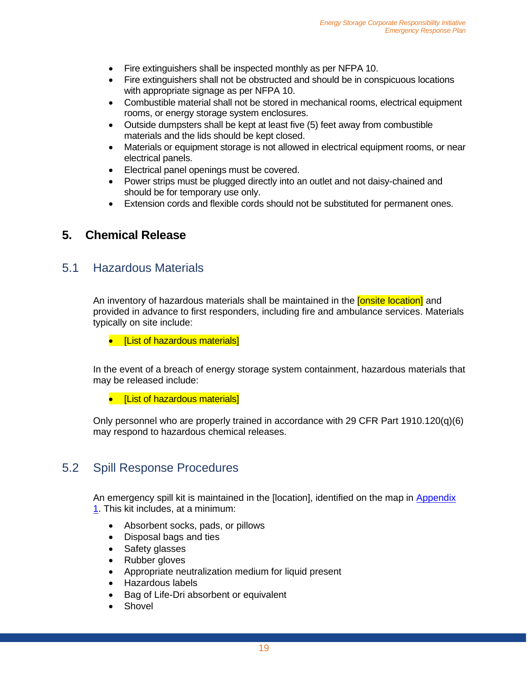- Fire extinguishers shall be inspected monthly as per NFPA 10.
- Fire extinguishers shall not be obstructed and should be in conspicuous locations with appropriate signage as per NFPA 10.
- Combustible material shall not be stored in mechanical rooms, electrical equipment rooms, or energy storage system enclosures.
- Outside dumpsters shall be kept at least five (5) feet away from combustible materials and the lids should be kept closed.
- Materials or equipment storage is not allowed in electrical equipment rooms, or near electrical panels.
- Electrical panel openings must be covered.
- Power strips must be plugged directly into an outlet and not daisy-chained and should be for temporary use only.
- Extension cords and flexible cords should not be substituted for permanent ones.

#### <span id="page-18-0"></span>**5. Chemical Release**

#### <span id="page-18-1"></span>5.1 Hazardous Materials

An inventory of hazardous materials shall be maintained in the **[onsite location]** and provided in advance to first responders, including fire and ambulance services. Materials typically on site include:

• [List of hazardous materials]

In the event of a breach of energy storage system containment, hazardous materials that may be released include:

• [List of hazardous materials]

Only personnel who are properly trained in accordance with 29 CFR Part  $1910.120(q)(6)$ may respond to hazardous chemical releases.

#### <span id="page-18-2"></span>5.2 Spill Response Procedures

An emergency spill kit is maintained in the [location], identified on the map in Appendix [1.](#page-28-1) This kit includes, at a minimum:

- Absorbent socks, pads, or pillows
- Disposal bags and ties
- Safety glasses
- Rubber gloves
- Appropriate neutralization medium for liquid present
- Hazardous labels
- Bag of Life-Dri absorbent or equivalent
- **Shovel**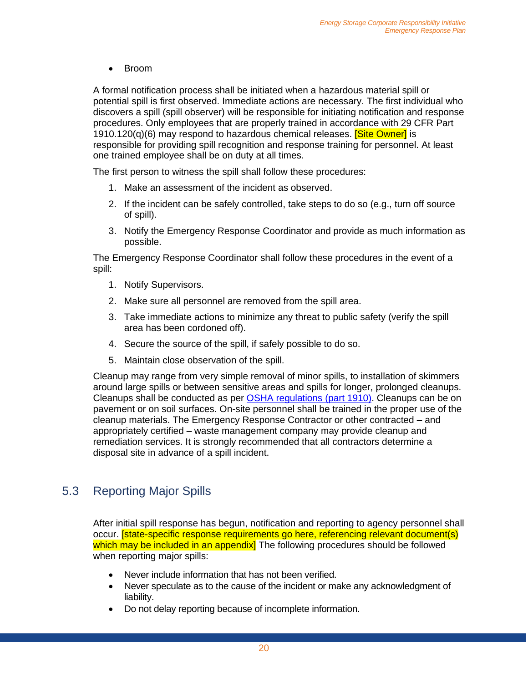• Broom

A formal notification process shall be initiated when a hazardous material spill or potential spill is first observed. Immediate actions are necessary. The first individual who discovers a spill (spill observer) will be responsible for initiating notification and response procedures. Only employees that are properly trained in accordance with 29 CFR Part 1910.120(q)(6) may respond to hazardous chemical releases. [Site Owner] is responsible for providing spill recognition and response training for personnel. At least one trained employee shall be on duty at all times.

The first person to witness the spill shall follow these procedures:

- 1. Make an assessment of the incident as observed.
- 2. If the incident can be safely controlled, take steps to do so (e.g., turn off source of spill).
- 3. Notify the Emergency Response Coordinator and provide as much information as possible.

The Emergency Response Coordinator shall follow these procedures in the event of a spill:

- 1. Notify Supervisors.
- 2. Make sure all personnel are removed from the spill area.
- 3. Take immediate actions to minimize any threat to public safety (verify the spill area has been cordoned off).
- 4. Secure the source of the spill, if safely possible to do so.
- 5. Maintain close observation of the spill.

Cleanup may range from very simple removal of minor spills, to installation of skimmers around large spills or between sensitive areas and spills for longer, prolonged cleanups. Cleanups shall be conducted as per [OSHA regulations \(part 1910\).](https://www.osha.gov/pls/oshaweb/owadisp.show_document?p_id=9768&p_table=STANDARDS) Cleanups can be on pavement or on soil surfaces. On-site personnel shall be trained in the proper use of the cleanup materials. The Emergency Response Contractor or other contracted – and appropriately certified – waste management company may provide cleanup and remediation services. It is strongly recommended that all contractors determine a disposal site in advance of a spill incident.

### <span id="page-19-0"></span>5.3 Reporting Major Spills

After initial spill response has begun, notification and reporting to agency personnel shall occur. [state-specific response requirements go here, referencing relevant document(s) which may be included in an appendix] The following procedures should be followed when reporting major spills:

- Never include information that has not been verified.
- Never speculate as to the cause of the incident or make any acknowledgment of liability.
- Do not delay reporting because of incomplete information.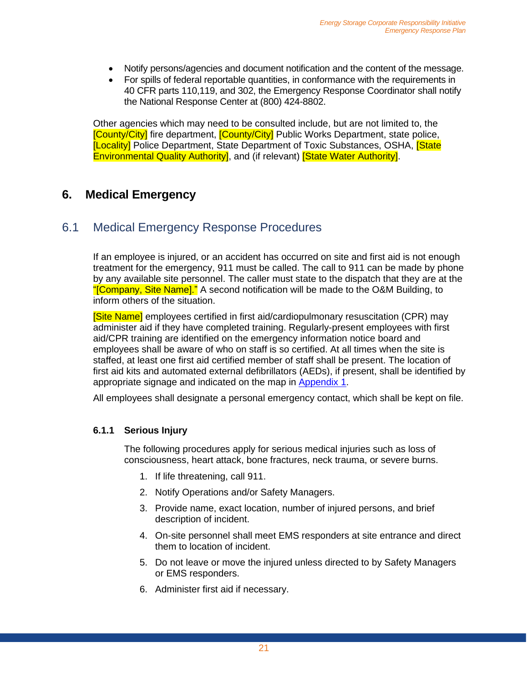- Notify persons/agencies and document notification and the content of the message.
- For spills of federal reportable quantities, in conformance with the requirements in 40 CFR parts 110,119, and 302, the Emergency Response Coordinator shall notify the National Response Center at (800) 424-8802.

Other agencies which may need to be consulted include, but are not limited to, the [County/City] fire department, [County/City] Public Works Department, state police, **[Locality]** Police Department, State Department of Toxic Substances, OSHA, **[State** Environmental Quality Authority], and (if relevant) **[State Water Authority]**.

#### <span id="page-20-0"></span>**6. Medical Emergency**

#### <span id="page-20-1"></span>6.1 Medical Emergency Response Procedures

If an employee is injured, or an accident has occurred on site and first aid is not enough treatment for the emergency, 911 must be called. The call to 911 can be made by phone by any available site personnel. The caller must state to the dispatch that they are at the "[Company, Site Name]." A second notification will be made to the O&M Building, to inform others of the situation.

[Site Name] employees certified in first aid/cardiopulmonary resuscitation (CPR) may administer aid if they have completed training. Regularly-present employees with first aid/CPR training are identified on the emergency information notice board and employees shall be aware of who on staff is so certified. At all times when the site is staffed, at least one first aid certified member of staff shall be present. The location of first aid kits and automated external defibrillators (AEDs), if present, shall be identified by appropriate signage and indicated on the map in [Appendix 1.](#page-28-1)

All employees shall designate a personal emergency contact, which shall be kept on file.

#### **6.1.1 Serious Injury**

The following procedures apply for serious medical injuries such as loss of consciousness, heart attack, bone fractures, neck trauma, or severe burns.

- 1. If life threatening, call 911.
- 2. Notify Operations and/or Safety Managers.
- 3. Provide name, exact location, number of injured persons, and brief description of incident.
- 4. On-site personnel shall meet EMS responders at site entrance and direct them to location of incident.
- 5. Do not leave or move the injured unless directed to by Safety Managers or EMS responders.
- 6. Administer first aid if necessary.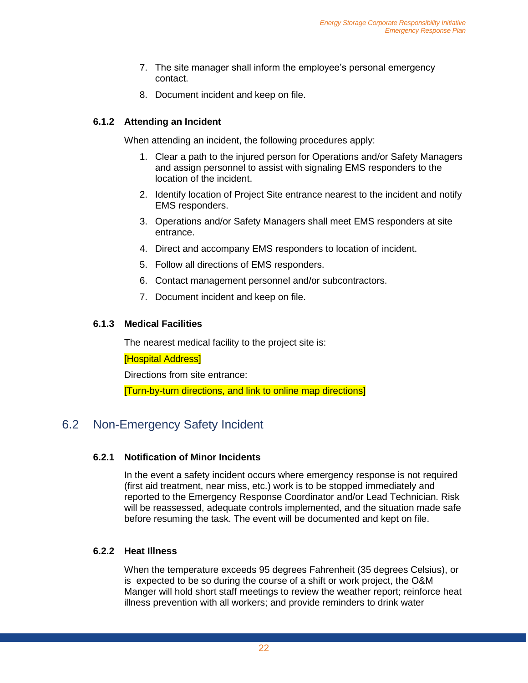- 7. The site manager shall inform the employee's personal emergency contact.
- 8. Document incident and keep on file.

#### **6.1.2 Attending an Incident**

When attending an incident, the following procedures apply:

- 1. Clear a path to the injured person for Operations and/or Safety Managers and assign personnel to assist with signaling EMS responders to the location of the incident.
- 2. Identify location of Project Site entrance nearest to the incident and notify EMS responders.
- 3. Operations and/or Safety Managers shall meet EMS responders at site entrance.
- 4. Direct and accompany EMS responders to location of incident.
- 5. Follow all directions of EMS responders.
- 6. Contact management personnel and/or subcontractors.
- 7. Document incident and keep on file.

#### **6.1.3 Medical Facilities**

The nearest medical facility to the project site is:

[Hospital Address]

Directions from site entrance:

[Turn-by-turn directions, and link to online map directions]

#### <span id="page-21-0"></span>6.2 Non-Emergency Safety Incident

#### **6.2.1 Notification of Minor Incidents**

In the event a safety incident occurs where emergency response is not required (first aid treatment, near miss, etc.) work is to be stopped immediately and reported to the Emergency Response Coordinator and/or Lead Technician. Risk will be reassessed, adequate controls implemented, and the situation made safe before resuming the task. The event will be documented and kept on file.

#### **6.2.2 Heat Illness**

When the temperature exceeds 95 degrees Fahrenheit (35 degrees Celsius), or is expected to be so during the course of a shift or work project, the O&M Manger will hold short staff meetings to review the weather report; reinforce heat illness prevention with all workers; and provide reminders to drink water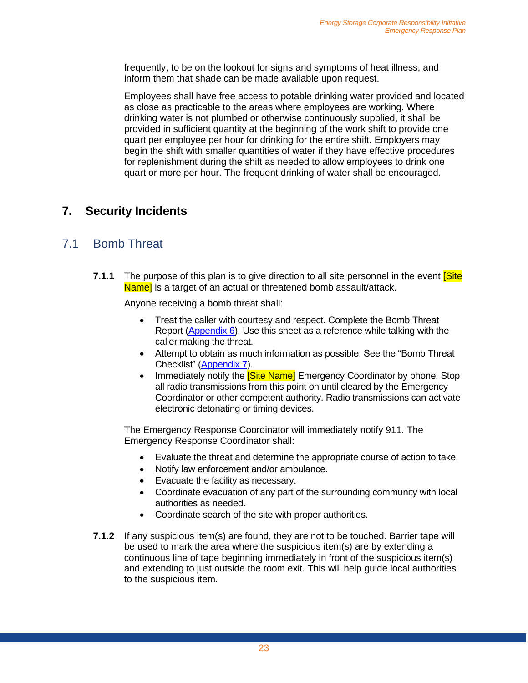frequently, to be on the lookout for signs and symptoms of heat illness, and inform them that shade can be made available upon request.

Employees shall have free access to potable drinking water provided and located as close as practicable to the areas where employees are working. Where drinking water is not plumbed or otherwise continuously supplied, it shall be provided in sufficient quantity at the beginning of the work shift to provide one quart per employee per hour for drinking for the entire shift. Employers may begin the shift with smaller quantities of water if they have effective procedures for replenishment during the shift as needed to allow employees to drink one quart or more per hour. The frequent drinking of water shall be encouraged.

### <span id="page-22-0"></span>**7. Security Incidents**

### <span id="page-22-1"></span>7.1 Bomb Threat

**7.1.1** The purpose of this plan is to give direction to all site personnel in the event **Site** Name] is a target of an actual or threatened bomb assault/attack.

Anyone receiving a bomb threat shall:

- Treat the caller with courtesy and respect. Complete the Bomb Threat Report [\(Appendix 6\)](#page-37-0). Use this sheet as a reference while talking with the caller making the threat.
- Attempt to obtain as much information as possible. See the "Bomb Threat Checklist" [\(Appendix 7\)](#page-39-0).
- Immediately notify the **[Site Name]** Emergency Coordinator by phone. Stop all radio transmissions from this point on until cleared by the Emergency Coordinator or other competent authority. Radio transmissions can activate electronic detonating or timing devices.

The Emergency Response Coordinator will immediately notify 911. The Emergency Response Coordinator shall:

- Evaluate the threat and determine the appropriate course of action to take.
- Notify law enforcement and/or ambulance.
- Evacuate the facility as necessary.
- Coordinate evacuation of any part of the surrounding community with local authorities as needed.
- Coordinate search of the site with proper authorities.
- **7.1.2** If any suspicious item(s) are found, they are not to be touched. Barrier tape will be used to mark the area where the suspicious item(s) are by extending a continuous line of tape beginning immediately in front of the suspicious item(s) and extending to just outside the room exit. This will help guide local authorities to the suspicious item.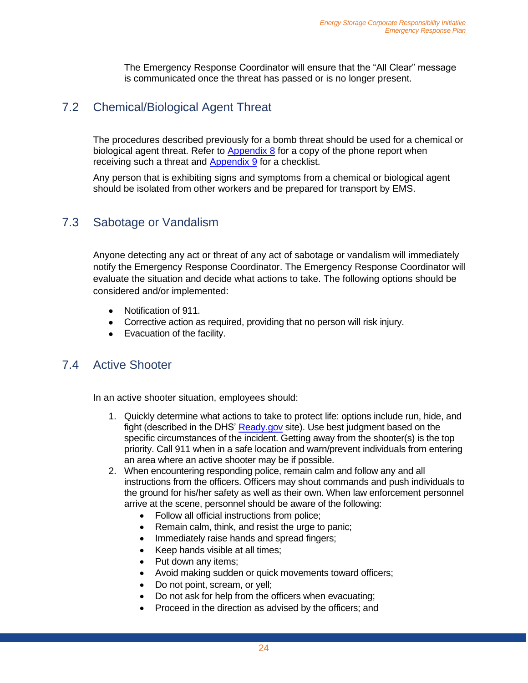The Emergency Response Coordinator will ensure that the "All Clear" message is communicated once the threat has passed or is no longer present.

### <span id="page-23-0"></span>7.2 Chemical/Biological Agent Threat

The procedures described previously for a bomb threat should be used for a chemical or biological agent threat. Refer to  $\Delta$ ppendix  $\delta$  for a copy of the phone report when receiving such a threat and [Appendix 9](#page-42-0) for a checklist.

Any person that is exhibiting signs and symptoms from a chemical or biological agent should be isolated from other workers and be prepared for transport by EMS.

### <span id="page-23-1"></span>7.3 Sabotage or Vandalism

Anyone detecting any act or threat of any act of sabotage or vandalism will immediately notify the Emergency Response Coordinator. The Emergency Response Coordinator will evaluate the situation and decide what actions to take. The following options should be considered and/or implemented:

- Notification of 911.
- Corrective action as required, providing that no person will risk injury.
- Evacuation of the facility.

#### <span id="page-23-2"></span>7.4 Active Shooter

In an active shooter situation, employees should:

- 1. Quickly determine what actions to take to protect life: options include run, hide, and fight (described in the DHS' [Ready.gov](https://www.ready.gov/active-shooter) site). Use best judgment based on the specific circumstances of the incident. Getting away from the shooter(s) is the top priority. Call 911 when in a safe location and warn/prevent individuals from entering an area where an active shooter may be if possible.
- 2. When encountering responding police, remain calm and follow any and all instructions from the officers. Officers may shout commands and push individuals to the ground for his/her safety as well as their own. When law enforcement personnel arrive at the scene, personnel should be aware of the following:
	- Follow all official instructions from police;
	- Remain calm, think, and resist the urge to panic;
	- Immediately raise hands and spread fingers;
	- Keep hands visible at all times;
	- Put down any items;
	- Avoid making sudden or quick movements toward officers;
	- Do not point, scream, or yell;
	- Do not ask for help from the officers when evacuating;
	- Proceed in the direction as advised by the officers; and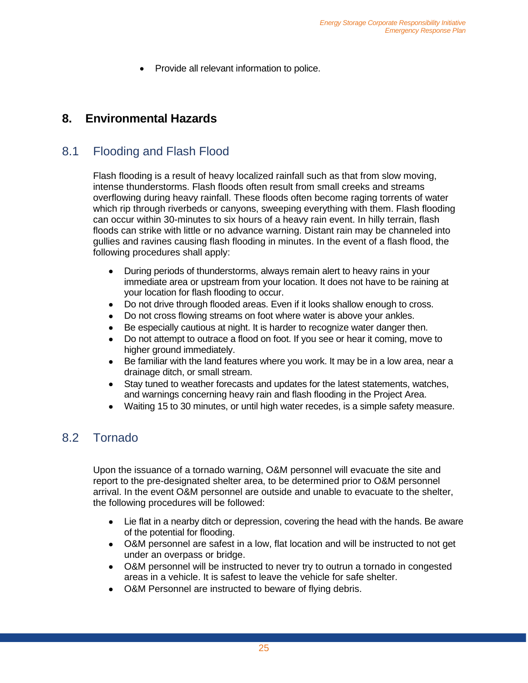• Provide all relevant information to police.

### <span id="page-24-0"></span>**8. Environmental Hazards**

### <span id="page-24-1"></span>8.1 Flooding and Flash Flood

Flash flooding is a result of heavy localized rainfall such as that from slow moving, intense thunderstorms. Flash floods often result from small creeks and streams overflowing during heavy rainfall. These floods often become raging torrents of water which rip through riverbeds or canyons, sweeping everything with them. Flash flooding can occur within 30-minutes to six hours of a heavy rain event. In hilly terrain, flash floods can strike with little or no advance warning. Distant rain may be channeled into gullies and ravines causing flash flooding in minutes. In the event of a flash flood, the following procedures shall apply:

- During periods of thunderstorms, always remain alert to heavy rains in your immediate area or upstream from your location. It does not have to be raining at your location for flash flooding to occur.
- Do not drive through flooded areas. Even if it looks shallow enough to cross.
- Do not cross flowing streams on foot where water is above your ankles.
- Be especially cautious at night. It is harder to recognize water danger then.
- Do not attempt to outrace a flood on foot. If you see or hear it coming, move to higher ground immediately.
- Be familiar with the land features where you work. It may be in a low area, near a drainage ditch, or small stream.
- Stay tuned to weather forecasts and updates for the latest statements, watches, and warnings concerning heavy rain and flash flooding in the Project Area.
- Waiting 15 to 30 minutes, or until high water recedes, is a simple safety measure.

### <span id="page-24-2"></span>8.2 Tornado

Upon the issuance of a tornado warning, O&M personnel will evacuate the site and report to the pre-designated shelter area, to be determined prior to O&M personnel arrival. In the event O&M personnel are outside and unable to evacuate to the shelter, the following procedures will be followed:

- Lie flat in a nearby ditch or depression, covering the head with the hands. Be aware of the potential for flooding.
- O&M personnel are safest in a low, flat location and will be instructed to not get under an overpass or bridge.
- O&M personnel will be instructed to never try to outrun a tornado in congested areas in a vehicle. It is safest to leave the vehicle for safe shelter.
- O&M Personnel are instructed to beware of flying debris.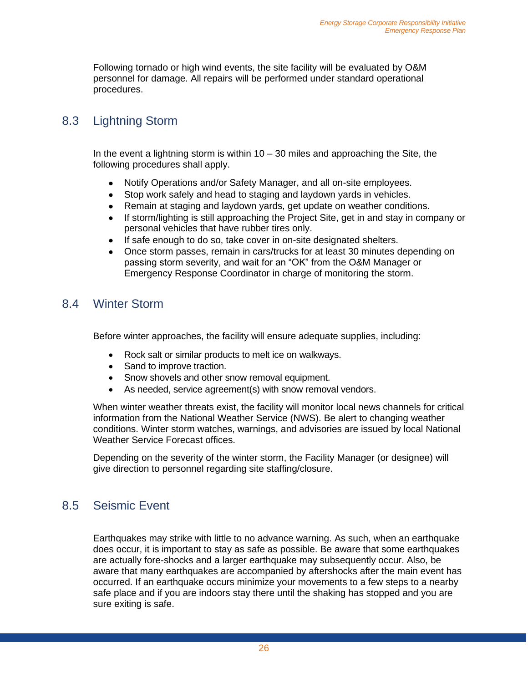Following tornado or high wind events, the site facility will be evaluated by O&M personnel for damage. All repairs will be performed under standard operational procedures.

### <span id="page-25-0"></span>8.3 Lightning Storm

In the event a lightning storm is within  $10 - 30$  miles and approaching the Site, the following procedures shall apply.

- Notify Operations and/or Safety Manager, and all on-site employees.
- Stop work safely and head to staging and laydown yards in vehicles.
- Remain at staging and laydown yards, get update on weather conditions.
- If storm/lighting is still approaching the Project Site, get in and stay in company or personal vehicles that have rubber tires only.
- If safe enough to do so, take cover in on-site designated shelters.
- Once storm passes, remain in cars/trucks for at least 30 minutes depending on passing storm severity, and wait for an "OK" from the O&M Manager or Emergency Response Coordinator in charge of monitoring the storm.

### <span id="page-25-1"></span>8.4 Winter Storm

Before winter approaches, the facility will ensure adequate supplies, including:

- Rock salt or similar products to melt ice on walkways.
- Sand to improve traction.
- Snow shovels and other snow removal equipment.
- As needed, service agreement(s) with snow removal vendors.

When winter weather threats exist, the facility will monitor local news channels for critical information from the National Weather Service (NWS). Be alert to changing weather conditions. Winter storm watches, warnings, and advisories are issued by local National Weather Service Forecast offices.

Depending on the severity of the winter storm, the Facility Manager (or designee) will give direction to personnel regarding site staffing/closure.

### <span id="page-25-2"></span>8.5 Seismic Event

Earthquakes may strike with little to no advance warning. As such, when an earthquake does occur, it is important to stay as safe as possible. Be aware that some earthquakes are actually fore-shocks and a larger earthquake may subsequently occur. Also, be aware that many earthquakes are accompanied by aftershocks after the main event has occurred. If an earthquake occurs minimize your movements to a few steps to a nearby safe place and if you are indoors stay there until the shaking has stopped and you are sure exiting is safe.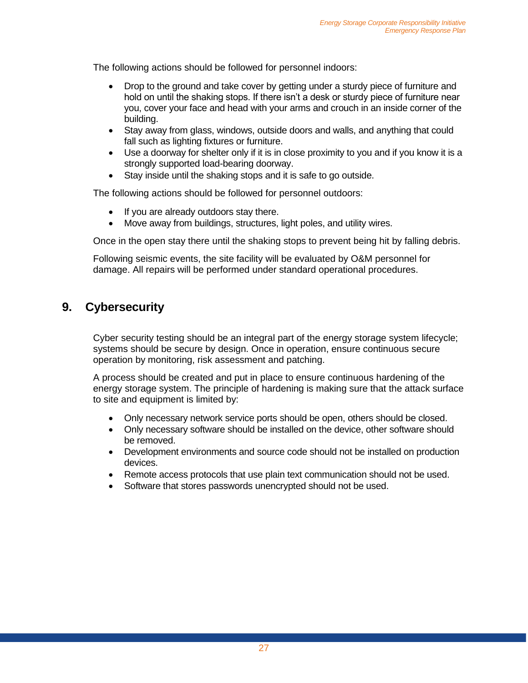The following actions should be followed for personnel indoors:

- Drop to the ground and take cover by getting under a sturdy piece of furniture and hold on until the shaking stops. If there isn't a desk or sturdy piece of furniture near you, cover your face and head with your arms and crouch in an inside corner of the building.
- Stay away from glass, windows, outside doors and walls, and anything that could fall such as lighting fixtures or furniture.
- Use a doorway for shelter only if it is in close proximity to you and if you know it is a strongly supported load-bearing doorway.
- Stay inside until the shaking stops and it is safe to go outside.

The following actions should be followed for personnel outdoors:

- If you are already outdoors stay there.
- Move away from buildings, structures, light poles, and utility wires.

Once in the open stay there until the shaking stops to prevent being hit by falling debris.

Following seismic events, the site facility will be evaluated by O&M personnel for damage. All repairs will be performed under standard operational procedures.

#### <span id="page-26-0"></span>**9. Cybersecurity**

Cyber security testing should be an integral part of the energy storage system lifecycle; systems should be secure by design. Once in operation, ensure continuous secure operation by monitoring, risk assessment and patching.

A process should be created and put in place to ensure continuous hardening of the energy storage system. The principle of hardening is making sure that the attack surface to site and equipment is limited by:

- Only necessary network service ports should be open, others should be closed.
- Only necessary software should be installed on the device, other software should be removed.
- Development environments and source code should not be installed on production devices.
- Remote access protocols that use plain text communication should not be used.
- Software that stores passwords unencrypted should not be used.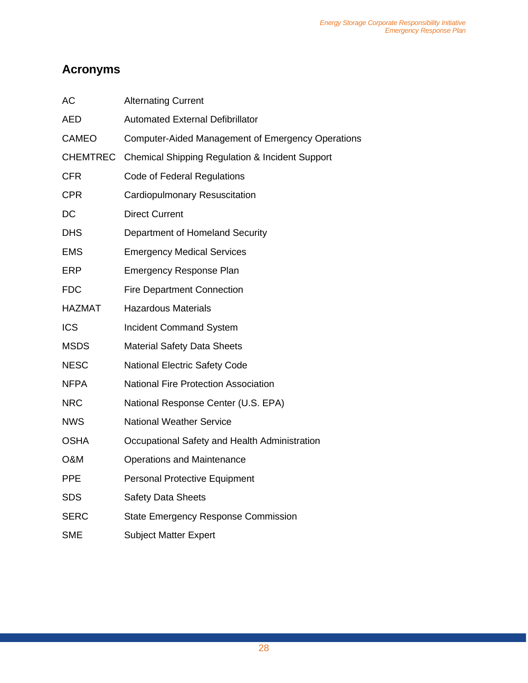# <span id="page-27-0"></span>**Acronyms**

| <b>AC</b>       | <b>Alternating Current</b>                                 |
|-----------------|------------------------------------------------------------|
| <b>AED</b>      | <b>Automated External Defibrillator</b>                    |
| <b>CAMEO</b>    | <b>Computer-Aided Management of Emergency Operations</b>   |
| <b>CHEMTREC</b> | <b>Chemical Shipping Regulation &amp; Incident Support</b> |
| <b>CFR</b>      | Code of Federal Regulations                                |
| <b>CPR</b>      | Cardiopulmonary Resuscitation                              |
| DC              | <b>Direct Current</b>                                      |
| <b>DHS</b>      | Department of Homeland Security                            |
| <b>EMS</b>      | <b>Emergency Medical Services</b>                          |
| <b>ERP</b>      | <b>Emergency Response Plan</b>                             |
| <b>FDC</b>      | <b>Fire Department Connection</b>                          |
| <b>HAZMAT</b>   | <b>Hazardous Materials</b>                                 |
| <b>ICS</b>      | <b>Incident Command System</b>                             |
| <b>MSDS</b>     | <b>Material Safety Data Sheets</b>                         |
| <b>NESC</b>     | <b>National Electric Safety Code</b>                       |
| <b>NFPA</b>     | <b>National Fire Protection Association</b>                |
| <b>NRC</b>      | National Response Center (U.S. EPA)                        |
| <b>NWS</b>      | <b>National Weather Service</b>                            |
| <b>OSHA</b>     | Occupational Safety and Health Administration              |
| O&M             | <b>Operations and Maintenance</b>                          |
| <b>PPE</b>      | <b>Personal Protective Equipment</b>                       |
| <b>SDS</b>      | <b>Safety Data Sheets</b>                                  |
| <b>SERC</b>     | <b>State Emergency Response Commission</b>                 |
| <b>SME</b>      | <b>Subject Matter Expert</b>                               |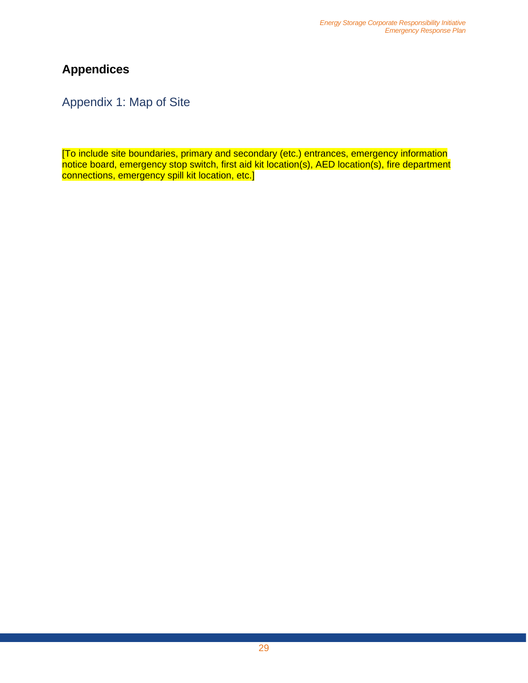# <span id="page-28-0"></span>**Appendices**

<span id="page-28-1"></span>Appendix 1: Map of Site

[To include site boundaries, primary and secondary (etc.) entrances, emergency information notice board, emergency stop switch, first aid kit location(s), AED location(s), fire department connections, emergency spill kit location, etc.]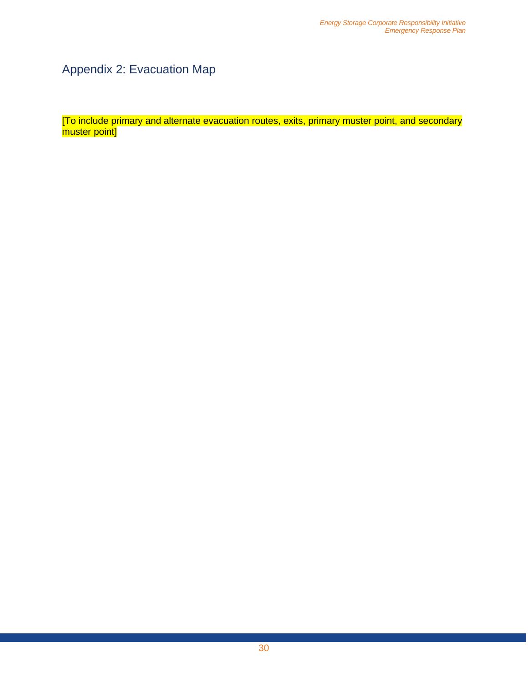# <span id="page-29-0"></span>Appendix 2: Evacuation Map

[To include primary and alternate evacuation routes, exits, primary muster point, and secondary muster point]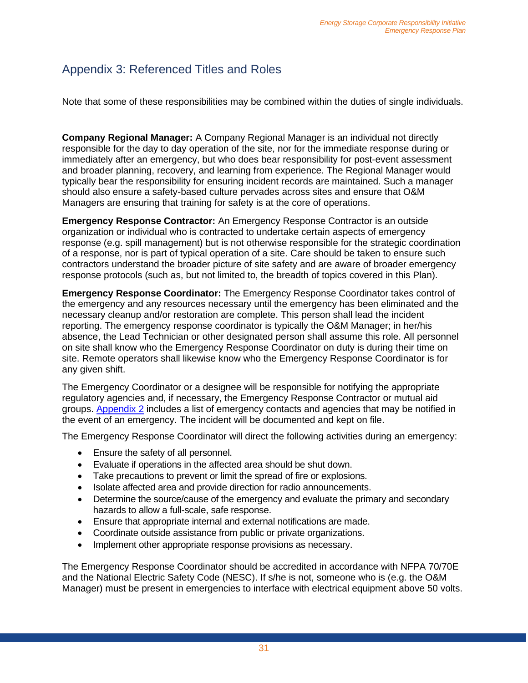## <span id="page-30-0"></span>Appendix 3: Referenced Titles and Roles

Note that some of these responsibilities may be combined within the duties of single individuals.

**Company Regional Manager:** A Company Regional Manager is an individual not directly responsible for the day to day operation of the site, nor for the immediate response during or immediately after an emergency, but who does bear responsibility for post-event assessment and broader planning, recovery, and learning from experience. The Regional Manager would typically bear the responsibility for ensuring incident records are maintained. Such a manager should also ensure a safety-based culture pervades across sites and ensure that O&M Managers are ensuring that training for safety is at the core of operations.

**Emergency Response Contractor:** An Emergency Response Contractor is an outside organization or individual who is contracted to undertake certain aspects of emergency response (e.g. spill management) but is not otherwise responsible for the strategic coordination of a response, nor is part of typical operation of a site. Care should be taken to ensure such contractors understand the broader picture of site safety and are aware of broader emergency response protocols (such as, but not limited to, the breadth of topics covered in this Plan).

**Emergency Response Coordinator:** The Emergency Response Coordinator takes control of the emergency and any resources necessary until the emergency has been eliminated and the necessary cleanup and/or restoration are complete. This person shall lead the incident reporting. The emergency response coordinator is typically the O&M Manager; in her/his absence, the Lead Technician or other designated person shall assume this role. All personnel on site shall know who the Emergency Response Coordinator on duty is during their time on site. Remote operators shall likewise know who the Emergency Response Coordinator is for any given shift.

The Emergency Coordinator or a designee will be responsible for notifying the appropriate regulatory agencies and, if necessary, the Emergency Response Contractor or mutual aid groups. [Appendix 2](#page-29-0) includes a list of emergency contacts and agencies that may be notified in the event of an emergency. The incident will be documented and kept on file.

The Emergency Response Coordinator will direct the following activities during an emergency:

- Ensure the safety of all personnel.
- Evaluate if operations in the affected area should be shut down.
- Take precautions to prevent or limit the spread of fire or explosions.
- Isolate affected area and provide direction for radio announcements.
- Determine the source/cause of the emergency and evaluate the primary and secondary hazards to allow a full-scale, safe response.
- Ensure that appropriate internal and external notifications are made.
- Coordinate outside assistance from public or private organizations.
- Implement other appropriate response provisions as necessary.

The Emergency Response Coordinator should be accredited in accordance with NFPA 70/70E and the National Electric Safety Code (NESC). If s/he is not, someone who is (e.g. the O&M Manager) must be present in emergencies to interface with electrical equipment above 50 volts.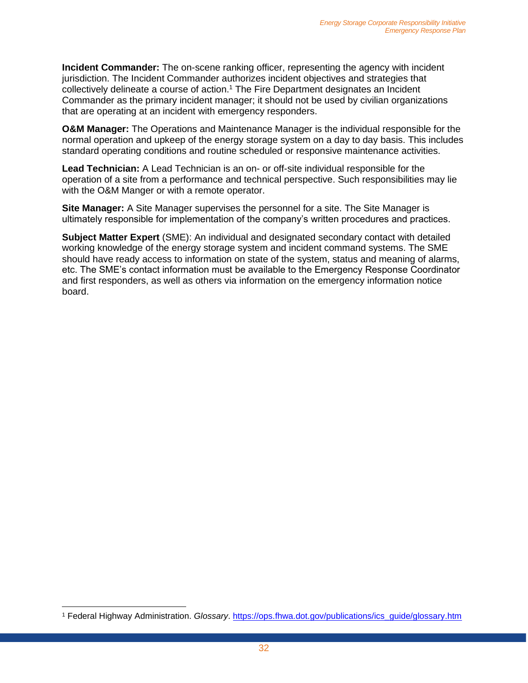**Incident Commander:** The on-scene ranking officer, representing the agency with incident jurisdiction. The Incident Commander authorizes incident objectives and strategies that collectively delineate a course of action.<sup>1</sup> The Fire Department designates an Incident Commander as the primary incident manager; it should not be used by civilian organizations that are operating at an incident with emergency responders.

**O&M Manager:** The Operations and Maintenance Manager is the individual responsible for the normal operation and upkeep of the energy storage system on a day to day basis. This includes standard operating conditions and routine scheduled or responsive maintenance activities.

**Lead Technician:** A Lead Technician is an on- or off-site individual responsible for the operation of a site from a performance and technical perspective. Such responsibilities may lie with the O&M Manger or with a remote operator.

**Site Manager:** A Site Manager supervises the personnel for a site. The Site Manager is ultimately responsible for implementation of the company's written procedures and practices.

**Subject Matter Expert** (SME): An individual and designated secondary contact with detailed working knowledge of the energy storage system and incident command systems. The SME should have ready access to information on state of the system, status and meaning of alarms, etc. The SME's contact information must be available to the Emergency Response Coordinator and first responders, as well as others via information on the emergency information notice board.

<sup>1</sup> Federal Highway Administration. *Glossary*. [https://ops.fhwa.dot.gov/publications/ics\\_guide/glossary.htm](https://ops.fhwa.dot.gov/publications/ics_guide/glossary.htm)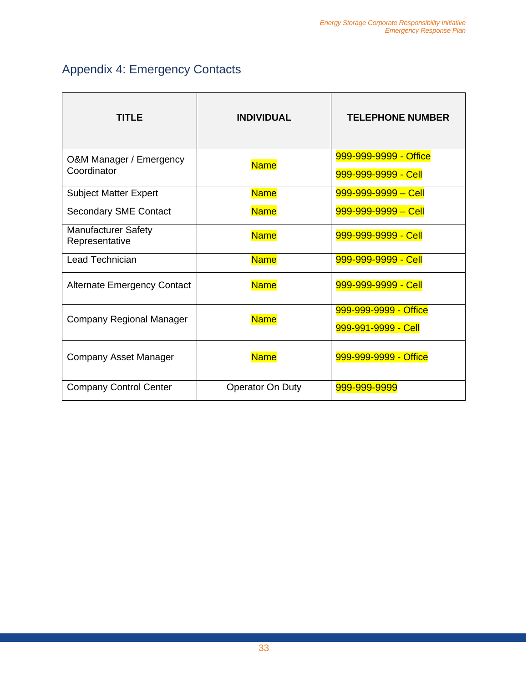# <span id="page-32-0"></span>Appendix 4: Emergency Contacts

| TITLE                                        | <b>INDIVIDUAL</b>       | <b>TELEPHONE NUMBER</b>                      |  |
|----------------------------------------------|-------------------------|----------------------------------------------|--|
| O&M Manager / Emergency<br>Coordinator       | <b>Name</b>             | 999-999-9999 - Office<br>999-999-9999 - Cell |  |
| <b>Subject Matter Expert</b>                 | <b>Name</b>             | $999 - 999 - 9999 - Cell$                    |  |
| <b>Secondary SME Contact</b>                 | <b>Name</b>             | 999-999-9999 - Cell                          |  |
| <b>Manufacturer Safety</b><br>Representative | <b>Name</b>             | 999-999-9999 - Cell                          |  |
| Lead Technician                              | <b>Name</b>             | 999-999-9999 - Cell                          |  |
| <b>Alternate Emergency Contact</b>           | <b>Name</b>             | 999-999-9999 - Cell                          |  |
| Company Regional Manager                     | <b>Name</b>             | 999-999-9999 - Office<br>999-991-9999 - Cell |  |
| <b>Company Asset Manager</b>                 | <b>Name</b>             |                                              |  |
| <b>Company Control Center</b>                | <b>Operator On Duty</b> | 999-999-9999                                 |  |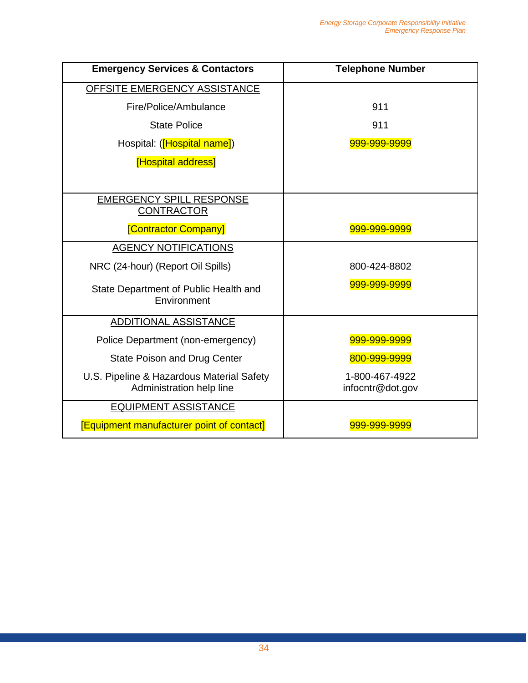| <b>Emergency Services &amp; Contactors</b>       | <b>Telephone Number</b> |  |  |
|--------------------------------------------------|-------------------------|--|--|
| OFFSITE EMERGENCY ASSISTANCE                     |                         |  |  |
| Fire/Police/Ambulance                            | 911                     |  |  |
| <b>State Police</b>                              | 911                     |  |  |
| Hospital: ([Hospital name])                      | 999-999-9999            |  |  |
| <b>Hospital address</b>                          |                         |  |  |
|                                                  |                         |  |  |
| <b>EMERGENCY SPILL RESPONSE</b>                  |                         |  |  |
| <b>CONTRACTOR</b>                                |                         |  |  |
| <b>[Contractor Company]</b>                      | 999-999-9999            |  |  |
| <b>AGENCY NOTIFICATIONS</b>                      |                         |  |  |
| NRC (24-hour) (Report Oil Spills)                | 800-424-8802            |  |  |
| State Department of Public Health and            | 999-999-9999            |  |  |
| Environment                                      |                         |  |  |
| <b>ADDITIONAL ASSISTANCE</b>                     |                         |  |  |
| Police Department (non-emergency)                | 999-999-9999            |  |  |
| State Poison and Drug Center                     | 800-999-9999            |  |  |
| U.S. Pipeline & Hazardous Material Safety        | 1-800-467-4922          |  |  |
| Administration help line                         | infocntr@dot.gov        |  |  |
| <b>EQUIPMENT ASSISTANCE</b>                      |                         |  |  |
| <b>[Equipment manufacturer point of contact]</b> | 999-999-9999            |  |  |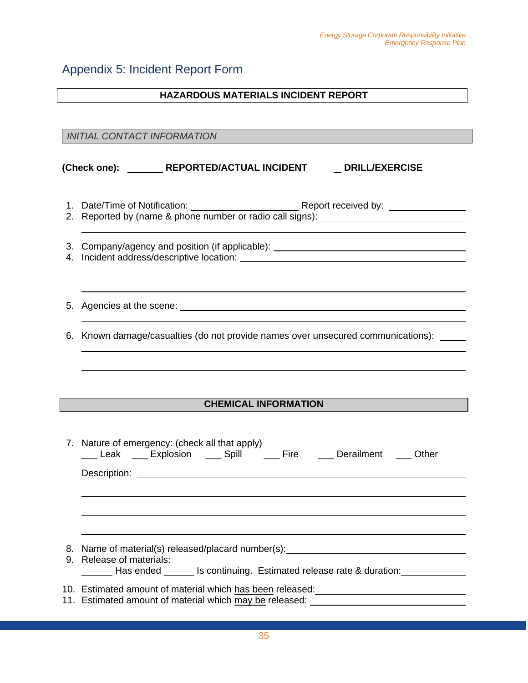#### <span id="page-34-0"></span>Appendix 5: Incident Report Form

#### **HAZARDOUS MATERIALS INCIDENT REPORT**

*INITIAL CONTACT INFORMATION*

#### (Check one): **NEPORTED/ACTUAL INCIDENT NET** DRILL/EXERCISE

1. Date/Time of Notification: Report received by: 2. Reported by (name & phone number or radio call signs):

3. Company/agency and position (if applicable):

- 4. Incident address/descriptive location:
- 5. Agencies at the scene:
- 6. Known damage/casualties (do not provide names over unsecured communications):

#### **CHEMICAL INFORMATION**

| 7. Nature of emergency: (check all that apply)<br>Leak Explosion Spill Fire Derailment Other                                                                      |
|-------------------------------------------------------------------------------------------------------------------------------------------------------------------|
|                                                                                                                                                                   |
|                                                                                                                                                                   |
|                                                                                                                                                                   |
| 8. Name of material(s) released/placard number(s): _____________________________                                                                                  |
| 9. Release of materials:<br>Laster Massended The Scontinuing. Estimated release rate & duration:                                                                  |
| 10. Estimated amount of material which has been released: University Materian<br>11. Estimated amount of material which may be released: ________________________ |
|                                                                                                                                                                   |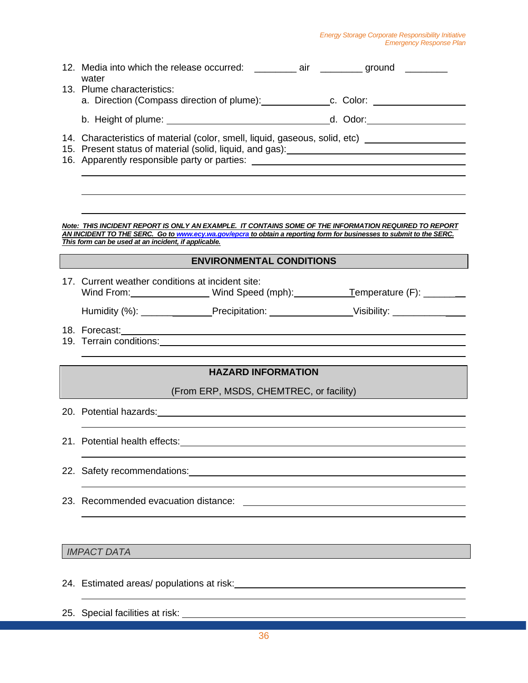#### *Energy Storage Corporate Responsibility Initiative Emergency Response Plan*

| 12. Media into which the release occurred: __________ air _________ ground ________<br>water                                                                                                                                        |
|-------------------------------------------------------------------------------------------------------------------------------------------------------------------------------------------------------------------------------------|
| 13. Plume characteristics:                                                                                                                                                                                                          |
| a. Direction (Compass direction of plume): c. Color: ___________________________                                                                                                                                                    |
|                                                                                                                                                                                                                                     |
| 14. Characteristics of material (color, smell, liquid, gaseous, solid, etc) _______________________                                                                                                                                 |
| 16. Apparently responsible party or parties: ___________________________________                                                                                                                                                    |
|                                                                                                                                                                                                                                     |
|                                                                                                                                                                                                                                     |
| Note: THIS INCIDENT REPORT IS ONLY AN EXAMPLE. IT CONTAINS SOME OF THE INFORMATION REQUIRED TO REPORT                                                                                                                               |
| AN INCIDENT TO THE SERC. Go to www.ecy.wa.gov/epcra to obtain a reporting form for businesses to submit to the SERC.<br>This form can be used at an incident, if applicable.                                                        |
| <b>ENVIRONMENTAL CONDITIONS</b>                                                                                                                                                                                                     |
| 17. Current weather conditions at incident site:                                                                                                                                                                                    |
| Wind From: Wind Speed (mph): Temperature (F): __________________________________                                                                                                                                                    |
| Humidity (%): _________________Precipitation: ___________________________________                                                                                                                                                   |
| 18. Forecast:                                                                                                                                                                                                                       |
| 19. Terrain conditions: <u>contained</u> and conditions of the contact of the conditions of the conditions of the conditions of the conditions of the conditions of the conditions of the conditions of the conditions of the condi |
| <b>HAZARD INFORMATION</b>                                                                                                                                                                                                           |
| (From ERP, MSDS, CHEMTREC, or facility)                                                                                                                                                                                             |
| 20. Potential hazards: 20. Potential hazards:                                                                                                                                                                                       |
|                                                                                                                                                                                                                                     |
| 21. Potential health effects:                                                                                                                                                                                                       |
|                                                                                                                                                                                                                                     |
|                                                                                                                                                                                                                                     |
| 23. Recommended evacuation distance:                                                                                                                                                                                                |
|                                                                                                                                                                                                                                     |
|                                                                                                                                                                                                                                     |
| <b>IMPACT DATA</b>                                                                                                                                                                                                                  |
| 24. Estimated areas/ populations at risk:<br>24. Estimated areas/ populations at risk:<br>24. Estimated areas/ populations at risk:                                                                                                 |
|                                                                                                                                                                                                                                     |
| 25. Special facilities at risk:                                                                                                                                                                                                     |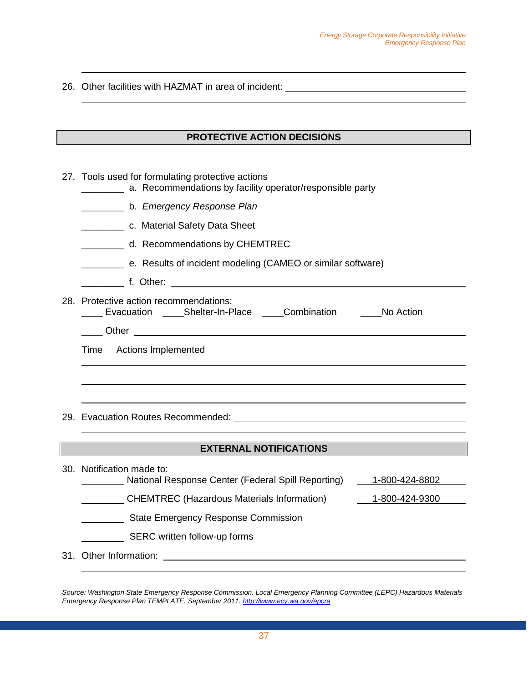26. Other facilities with HAZMAT in area of incident:

#### **PROTECTIVE ACTION DECISIONS**

27. Tools used for formulating protective actions

|  | a. Recommendations by facility operator/responsible party |  |  |  |
|--|-----------------------------------------------------------|--|--|--|
|--|-----------------------------------------------------------|--|--|--|

- \_\_\_\_\_\_\_\_ b. *Emergency Response Plan*
- \_\_\_\_\_\_\_\_ c. Material Safety Data Sheet
- \_\_\_\_\_\_\_\_ d. Recommendations by CHEMTREC
- \_\_\_\_\_\_\_\_ e. Results of incident modeling (CAMEO or similar software)
- **example 1. Other:** <u>**example 1. Other:**</u>
- 28. Protective action recommendations: \_\_\_\_ Evacuation \_\_\_\_Shelter-In-Place \_\_\_\_Combination \_\_\_\_No Action \_\_\_\_ Other

Time Actions Implemented

29. Evacuation Routes Recommended:

#### **EXTERNAL NOTIFICATIONS EXTERNAL NOTIFICATIONS**

|                              | 30. Notification made to:<br>National Response Center (Federal Spill Reporting) | 1-800-424-8802 |  |  |
|------------------------------|---------------------------------------------------------------------------------|----------------|--|--|
|                              | <b>CHEMTREC (Hazardous Materials Information)</b>                               | 1-800-424-9300 |  |  |
|                              | <b>State Emergency Response Commission</b>                                      |                |  |  |
| SERC written follow-up forms |                                                                                 |                |  |  |
|                              | 31. Other Information:                                                          |                |  |  |

*Source: Washington State Emergency Response Commission. Local Emergency Planning Committee (LEPC) Hazardous Materials Emergency Response Plan TEMPLATE. September 2011[. http://www.ecy.wa.gov/epcra](http://www.ecy.wa.gov/epcra)*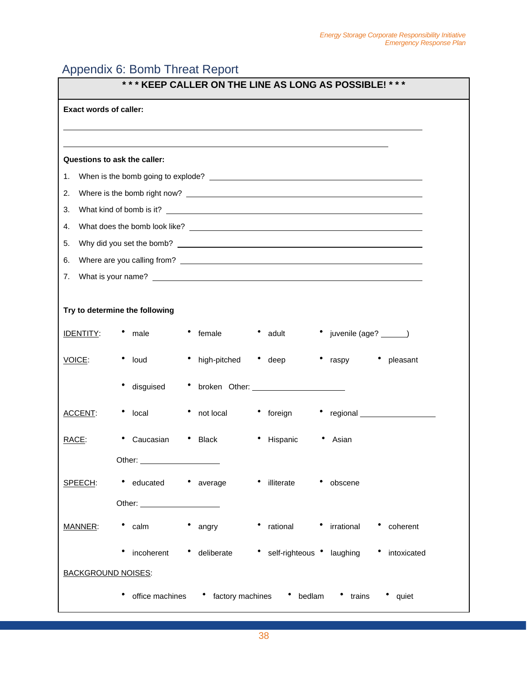## <span id="page-37-0"></span>Appendix 6: Bomb Threat Report

| *** KEEP CALLER ON THE LINE AS LONG AS POSSIBLE! *** |                                                                                                                                                                                                                                      |  |  |  |
|------------------------------------------------------|--------------------------------------------------------------------------------------------------------------------------------------------------------------------------------------------------------------------------------------|--|--|--|
| <b>Exact words of caller:</b>                        |                                                                                                                                                                                                                                      |  |  |  |
|                                                      |                                                                                                                                                                                                                                      |  |  |  |
|                                                      |                                                                                                                                                                                                                                      |  |  |  |
|                                                      | Questions to ask the caller:                                                                                                                                                                                                         |  |  |  |
| 1.                                                   |                                                                                                                                                                                                                                      |  |  |  |
| 2.                                                   |                                                                                                                                                                                                                                      |  |  |  |
| 3.                                                   |                                                                                                                                                                                                                                      |  |  |  |
| 4.                                                   |                                                                                                                                                                                                                                      |  |  |  |
| 5.                                                   |                                                                                                                                                                                                                                      |  |  |  |
| 6.                                                   |                                                                                                                                                                                                                                      |  |  |  |
|                                                      | 7. What is your name? <u>example and the set of the set of the set of the set of the set of the set of the set of the set of the set of the set of the set of the set of the set of the set of the set of the set of the set of </u> |  |  |  |
|                                                      | Try to determine the following                                                                                                                                                                                                       |  |  |  |
| <b>IDENTITY:</b>                                     | female<br>• adult<br>• juvenile (age? ______)<br>male                                                                                                                                                                                |  |  |  |
| VOICE:                                               | • high-pitched<br>• loud<br>$\bullet$ deep<br>$\bullet$ raspy<br>• pleasant                                                                                                                                                          |  |  |  |
|                                                      | disguised                                                                                                                                                                                                                            |  |  |  |
| ACCENT:                                              | not local<br>• foreign<br>local                                                                                                                                                                                                      |  |  |  |
| RACE:                                                | Caucasian<br>Hispanic<br><b>Black</b><br>Asian                                                                                                                                                                                       |  |  |  |
|                                                      | Other:                                                                                                                                                                                                                               |  |  |  |
| SPEECH:                                              | • illiterate<br>• educated<br>$\bullet$ average<br>• obscene                                                                                                                                                                         |  |  |  |
|                                                      | Other: ___________                                                                                                                                                                                                                   |  |  |  |
| MANNER:                                              | • rational • irrational<br>$\bullet$ calm<br>• angry<br>• coherent                                                                                                                                                                   |  |  |  |
|                                                      | • self-righteous • laughing • intoxicated<br>incoherent<br>• deliberate                                                                                                                                                              |  |  |  |
| <b>BACKGROUND NOISES:</b>                            |                                                                                                                                                                                                                                      |  |  |  |
|                                                      | office machines • factory machines • bedlam • trains<br>• quiet                                                                                                                                                                      |  |  |  |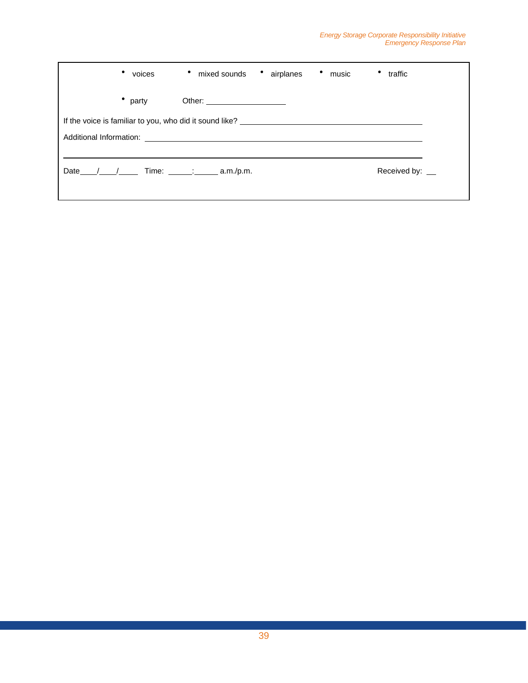|                                                                               | voices | mixed sounds<br>٠                                             | airplanes | • music | traffic         |  |
|-------------------------------------------------------------------------------|--------|---------------------------------------------------------------|-----------|---------|-----------------|--|
|                                                                               | party  | Other: ______________________                                 |           |         |                 |  |
|                                                                               |        |                                                               |           |         |                 |  |
| Additional Information:<br><u> 1989 - John Stein, Amerikaansk politiker (</u> |        |                                                               |           |         |                 |  |
|                                                                               |        |                                                               |           |         |                 |  |
| Date                                                                          |        | Time: $\frac{1}{2}$ = $\frac{1}{2}$ = $\frac{1}{2}$ a.m./p.m. |           |         | Received by: __ |  |
|                                                                               |        |                                                               |           |         |                 |  |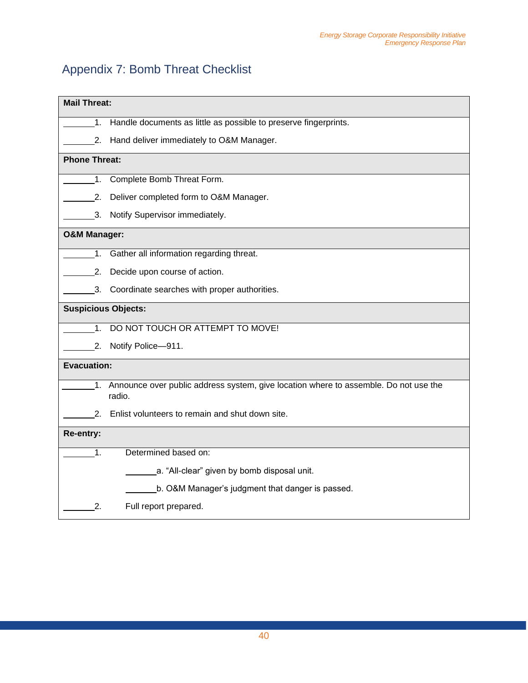# <span id="page-39-0"></span>Appendix 7: Bomb Threat Checklist

|                            | <b>Mail Threat:</b>                                                                            |  |  |  |  |
|----------------------------|------------------------------------------------------------------------------------------------|--|--|--|--|
| 1.                         | Handle documents as little as possible to preserve fingerprints.                               |  |  |  |  |
| 2.                         | Hand deliver immediately to O&M Manager.                                                       |  |  |  |  |
| <b>Phone Threat:</b>       |                                                                                                |  |  |  |  |
| 1.                         | Complete Bomb Threat Form.                                                                     |  |  |  |  |
| 2.                         | Deliver completed form to O&M Manager.                                                         |  |  |  |  |
| 3.                         | Notify Supervisor immediately.                                                                 |  |  |  |  |
| <b>O&amp;M Manager:</b>    |                                                                                                |  |  |  |  |
| 1.                         | Gather all information regarding threat.                                                       |  |  |  |  |
| 2.                         | Decide upon course of action.                                                                  |  |  |  |  |
|                            | 3. Coordinate searches with proper authorities.                                                |  |  |  |  |
| <b>Suspicious Objects:</b> |                                                                                                |  |  |  |  |
| 1 <sub>1</sub>             | DO NOT TOUCH OR ATTEMPT TO MOVE!                                                               |  |  |  |  |
|                            | 2. Notify Police-911.                                                                          |  |  |  |  |
| <b>Evacuation:</b>         |                                                                                                |  |  |  |  |
| 1.                         | Announce over public address system, give location where to assemble. Do not use the<br>radio. |  |  |  |  |
|                            | 2. Enlist volunteers to remain and shut down site.                                             |  |  |  |  |
| Re-entry:                  |                                                                                                |  |  |  |  |
| 1.                         | Determined based on:                                                                           |  |  |  |  |
|                            | a. "All-clear" given by bomb disposal unit.                                                    |  |  |  |  |
|                            | b. O&M Manager's judgment that danger is passed.                                               |  |  |  |  |
| 2.                         | Full report prepared.                                                                          |  |  |  |  |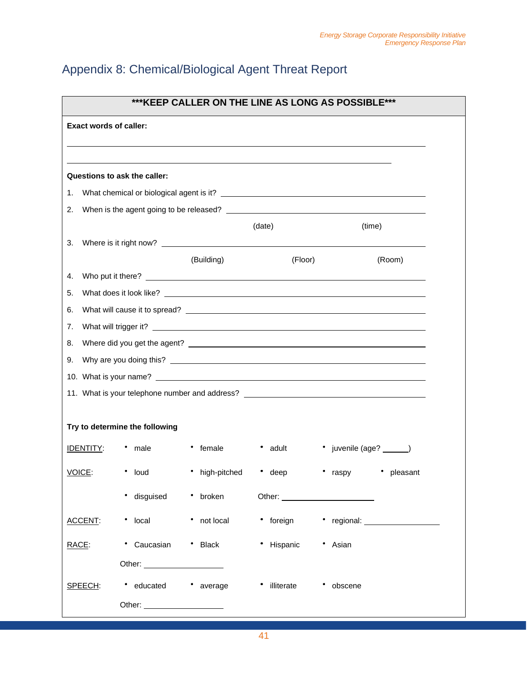# <span id="page-40-0"></span>Appendix 8: Chemical/Biological Agent Threat Report

| *** KEEP CALLER ON THE LINE AS LONG AS POSSIBLE*** |                                |                   |                    |                                                                                                                                                                                                                                     |  |  |
|----------------------------------------------------|--------------------------------|-------------------|--------------------|-------------------------------------------------------------------------------------------------------------------------------------------------------------------------------------------------------------------------------------|--|--|
| <b>Exact words of caller:</b>                      |                                |                   |                    |                                                                                                                                                                                                                                     |  |  |
|                                                    |                                |                   |                    |                                                                                                                                                                                                                                     |  |  |
|                                                    |                                |                   |                    |                                                                                                                                                                                                                                     |  |  |
|                                                    | Questions to ask the caller:   |                   |                    |                                                                                                                                                                                                                                     |  |  |
| 1.                                                 |                                |                   |                    |                                                                                                                                                                                                                                     |  |  |
| 2.                                                 |                                |                   |                    |                                                                                                                                                                                                                                     |  |  |
| 3.                                                 |                                |                   | (date)             | (time)                                                                                                                                                                                                                              |  |  |
|                                                    |                                | (Building)        | (Floor)            | (Room)                                                                                                                                                                                                                              |  |  |
| 4.                                                 |                                | Who put it there? |                    |                                                                                                                                                                                                                                     |  |  |
| 5.                                                 |                                |                   |                    |                                                                                                                                                                                                                                     |  |  |
| 6.                                                 |                                |                   |                    |                                                                                                                                                                                                                                     |  |  |
| 7.                                                 |                                |                   |                    | What will trigger it? <b>What will trigger</b> it?                                                                                                                                                                                  |  |  |
| 8.                                                 |                                |                   |                    |                                                                                                                                                                                                                                     |  |  |
| 9.                                                 |                                |                   |                    |                                                                                                                                                                                                                                     |  |  |
|                                                    |                                |                   |                    |                                                                                                                                                                                                                                     |  |  |
|                                                    |                                |                   |                    | 11. What is your telephone number and address? _________________________________                                                                                                                                                    |  |  |
|                                                    |                                |                   |                    |                                                                                                                                                                                                                                     |  |  |
|                                                    | Try to determine the following |                   |                    |                                                                                                                                                                                                                                     |  |  |
| <u>IDENTITY:</u>                                   | male                           | • female          | $\bullet$<br>adult | • juvenile (age? ______)                                                                                                                                                                                                            |  |  |
| VOICE:                                             | • loud                         | • high-pitched    | • deep             | • pleasant<br>raspy                                                                                                                                                                                                                 |  |  |
|                                                    | • disguised                    | • broken          |                    | Other: <u>University</u> Charles Charles Charles Charles Charles Charles Charles Charles Charles Charles Charles Charles Charles Charles Charles Charles Charles Charles Charles Charles Charles Charles Charles Charles Charles Ch |  |  |
| <b>ACCENT:</b>                                     | • local                        | • not local       | • foreign          | • regional: $\qquad \qquad$                                                                                                                                                                                                         |  |  |
| RACE:                                              | • Caucasian                    | * Black           | • Hispanic         | • Asian                                                                                                                                                                                                                             |  |  |
|                                                    |                                |                   |                    |                                                                                                                                                                                                                                     |  |  |
| SPEECH:                                            | • educated                     | • average         | • illiterate       | • obscene                                                                                                                                                                                                                           |  |  |
|                                                    | Other: _______________________ |                   |                    |                                                                                                                                                                                                                                     |  |  |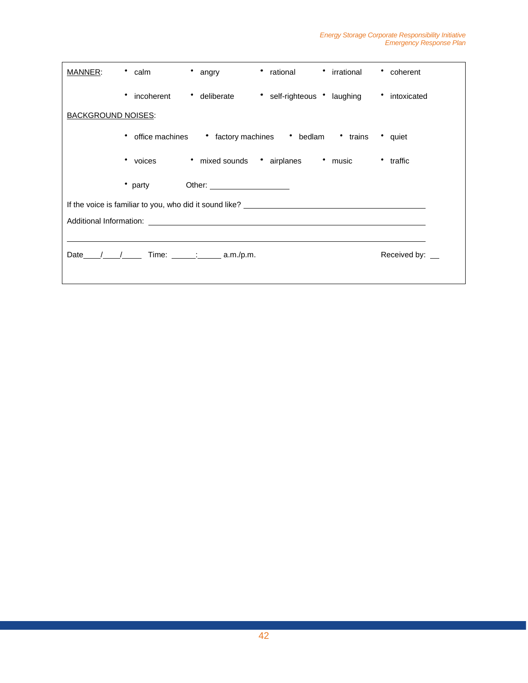| MANNER:                   | rational<br>• calm<br>angry                                                                                                                                                                                                    | <i>i</i> rrational<br>coherent |  |
|---------------------------|--------------------------------------------------------------------------------------------------------------------------------------------------------------------------------------------------------------------------------|--------------------------------|--|
|                           | incoherent<br>• deliberate<br>* self-righteous * laughing<br>٠                                                                                                                                                                 | intoxicated                    |  |
| <b>BACKGROUND NOISES:</b> |                                                                                                                                                                                                                                |                                |  |
|                           | office machines • factory machines • bedlam • trains<br>$\bullet$                                                                                                                                                              | • quiet                        |  |
|                           | • mixed sounds • airplanes • music<br>$\bullet$<br>voices                                                                                                                                                                      | * traffic                      |  |
|                           | • party<br>Other: <u>with the state of the state of the state of</u>                                                                                                                                                           |                                |  |
|                           |                                                                                                                                                                                                                                |                                |  |
|                           | Additional Information: Analysis of the contract of the contract of the contract of the contract of the contract of the contract of the contract of the contract of the contract of the contract of the contract of the contra |                                |  |
|                           |                                                                                                                                                                                                                                |                                |  |
|                           | Date $/$ / Time: $\qquad \qquad$ 2.m./p.m.                                                                                                                                                                                     | Received by: __                |  |
|                           |                                                                                                                                                                                                                                |                                |  |